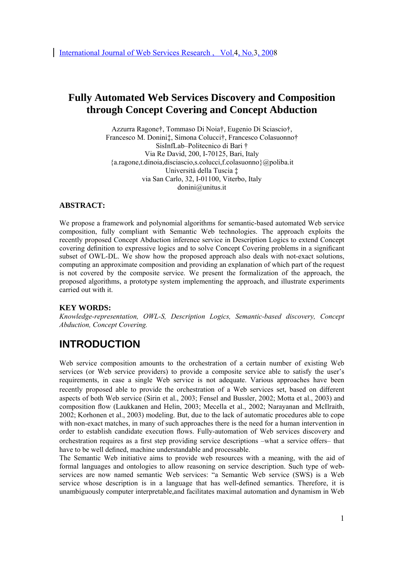# **Fully Automated Web Services Discovery and Composition through Concept Covering and Concept Abduction**

Azzurra Ragone†, Tommaso Di Noia†, Eugenio Di Sciascio†, Francesco M. Donini‡, Simona Colucci†, Francesco Colasuonno† SisInfLab–Politecnico di Bari † Via Re David, 200, I-70125, Bari, Italy {a.ragone,t.dinoia,disciascio,s.colucci,f.colasuonno}@poliba.it Università della Tuscia ‡ via San Carlo, 32, I-01100, Viterbo, Italy donini@unitus.it

### **ABSTRACT:**

We propose a framework and polynomial algorithms for semantic-based automated Web service composition, fully compliant with Semantic Web technologies. The approach exploits the recently proposed Concept Abduction inference service in Description Logics to extend Concept covering definition to expressive logics and to solve Concept Covering problems in a significant subset of OWL-DL. We show how the proposed approach also deals with not-exact solutions, computing an approximate composition and providing an explanation of which part of the request is not covered by the composite service. We present the formalization of the approach, the proposed algorithms, a prototype system implementing the approach, and illustrate experiments carried out with it.

#### **KEY WORDS:**

*Knowledge-representation, OWL-S, Description Logics, Semantic-based discovery, Concept Abduction, Concept Covering.* 

# **INTRODUCTION**

Web service composition amounts to the orchestration of a certain number of existing Web services (or Web service providers) to provide a composite service able to satisfy the user's requirements, in case a single Web service is not adequate. Various approaches have been recently proposed able to provide the orchestration of a Web services set, based on different aspects of both Web service (Sirin et al., 2003; Fensel and Bussler, 2002; Motta et al., 2003) and composition flow (Laukkanen and Helin, 2003; Mecella et al., 2002; Narayanan and McIlraith, 2002; Korhonen et al., 2003) modeling. But, due to the lack of automatic procedures able to cope with non-exact matches, in many of such approaches there is the need for a human intervention in order to establish candidate execution flows. Fully-automation of Web services discovery and orchestration requires as a first step providing service descriptions –what a service offers– that have to be well defined, machine understandable and processable.

The Semantic Web initiative aims to provide web resources with a meaning, with the aid of formal languages and ontologies to allow reasoning on service description. Such type of webservices are now named semantic Web services: "a Semantic Web service (SWS) is a Web service whose description is in a language that has well-defined semantics. Therefore, it is unambiguously computer interpretable,and facilitates maximal automation and dynamism in Web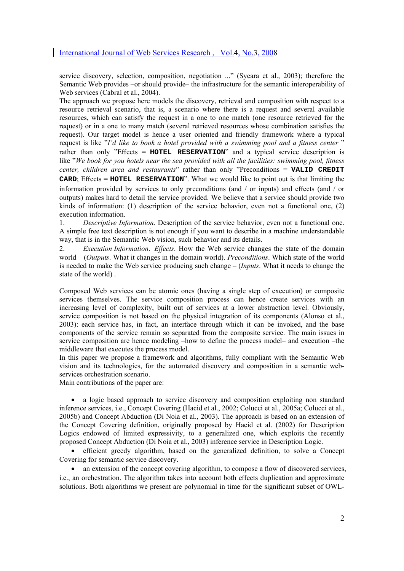service discovery, selection, composition, negotiation ..." (Sycara et al., 2003); therefore the Semantic Web provides –or should provide– the infrastructure for the semantic interoperability of Web services (Cabral et al., 2004).

The approach we propose here models the discovery, retrieval and composition with respect to a resource retrieval scenario, that is, a scenario where there is a request and several available resources, which can satisfy the request in a one to one match (one resource retrieved for the request) or in a one to many match (several retrieved resources whose combination satisfies the request). Our target model is hence a user oriented and friendly framework where a typical request is like "*I'd like to book a hotel provided with a swimming pool and a fitness center* " rather than only "Effects = **HOTEL RESERVATION**" and a typical service description is like "*We book for you hotels near the sea provided with all the facilities: swimming pool, fitness center, children area and restaurants*" rather than only "Preconditions = **VALID CREDIT CARD**; Effects = **HOTEL RESERVATION**". What we would like to point out is that limiting the information provided by services to only preconditions (and / or inputs) and effects (and / or outputs) makes hard to detail the service provided. We believe that a service should provide two kinds of information: (1) description of the service behavior, even not a functional one, (2) execution information.

1. *Descriptive Information*. Description of the service behavior, even not a functional one. A simple free text description is not enough if you want to describe in a machine understandable way, that is in the Semantic Web vision, such behavior and its details.

2. *Execution Information*. *Effects*. How the Web service changes the state of the domain world – (*Outputs*. What it changes in the domain world). *Preconditions*. Which state of the world is needed to make the Web service producing such change – (*Inputs*. What it needs to change the state of the world) .

Composed Web services can be atomic ones (having a single step of execution) or composite services themselves. The service composition process can hence create services with an increasing level of complexity, built out of services at a lower abstraction level. Obviously, service composition is not based on the physical integration of its components (Alonso et al., 2003): each service has, in fact, an interface through which it can be invoked, and the base components of the service remain so separated from the composite service. The main issues in service composition are hence modeling –how to define the process model– and execution –the middleware that executes the process model.

In this paper we propose a framework and algorithms, fully compliant with the Semantic Web vision and its technologies, for the automated discovery and composition in a semantic webservices orchestration scenario.

Main contributions of the paper are:

• a logic based approach to service discovery and composition exploiting non standard inference services, i.e., Concept Covering (Hacid et al., 2002; Colucci et al., 2005a; Colucci et al., 2005b) and Concept Abduction (Di Noia et al., 2003). The approach is based on an extension of the Concept Covering definition, originally proposed by Hacid et al. (2002) for Description Logics endowed of limited expressivity, to a generalized one, which exploits the recently proposed Concept Abduction (Di Noia et al., 2003) inference service in Description Logic.

• efficient greedy algorithm, based on the generalized definition, to solve a Concept Covering for semantic service discovery.

• an extension of the concept covering algorithm, to compose a flow of discovered services, i.e., an orchestration. The algorithm takes into account both effects duplication and approximate solutions. Both algorithms we present are polynomial in time for the significant subset of OWL-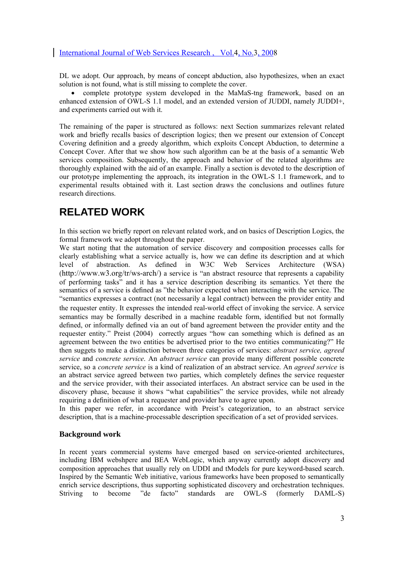DL we adopt. Our approach, by means of concept abduction, also hypothesizes, when an exact solution is not found, what is still missing to complete the cover.

• complete prototype system developed in the MaMaS-tng framework, based on an enhanced extension of OWL-S 1.1 model, and an extended version of JUDDI, namely JUDDI+, and experiments carried out with it.

The remaining of the paper is structured as follows: next Section summarizes relevant related work and briefly recalls basics of description logics; then we present our extension of Concept Covering definition and a greedy algorithm, which exploits Concept Abduction, to determine a Concept Cover. After that we show how such algorithm can be at the basis of a semantic Web services composition. Subsequently, the approach and behavior of the related algorithms are thoroughly explained with the aid of an example. Finally a section is devoted to the description of our prototype implementing the approach, its integration in the OWL-S 1.1 framework, and to experimental results obtained with it. Last section draws the conclusions and outlines future research directions.

# **RELATED WORK**

In this section we briefly report on relevant related work, and on basics of Description Logics, the formal framework we adopt throughout the paper.

We start noting that the automation of service discovery and composition processes calls for clearly establishing what a service actually is, how we can define its description and at which level of abstraction. As defined in W3C Web Services Architecture (WSA) (http://www.w3.org/tr/ws-arch/) a service is "an abstract resource that represents a capability of performing tasks" and it has a service description describing its semantics. Yet there the semantics of a service is defined as "the behavior expected when interacting with the service. The "semantics expresses a contract (not necessarily a legal contract) between the provider entity and the requester entity. It expresses the intended real-world effect of invoking the service. A service semantics may be formally described in a machine readable form, identified but not formally defined, or informally defined via an out of band agreement between the provider entity and the requester entity." Preist (2004) correctly argues "how can something which is defined as an agreement between the two entities be advertised prior to the two entities communicating?" He then suggets to make a distinction between three categories of services: *abstract service, agreed service* and *concrete service*. An *abstract service* can provide many different possible concrete service, so a *concrete service* is a kind of realization of an abstract service. An *agreed service* is an abstract service agreed between two parties, which completely defines the service requester and the service provider, with their associated interfaces. An abstract service can be used in the discovery phase, because it shows "what capabilities" the service provides, while not already requiring a definition of what a requester and provider have to agree upon.

In this paper we refer, in accordance with Preist's categorization, to an abstract service description, that is a machine-processable description specification of a set of provided services.

#### **Background work**

In recent years commercial systems have emerged based on service-oriented architectures, including IBM webshpere and BEA WebLogic, which anyway currently adopt discovery and composition approaches that usually rely on UDDI and tModels for pure keyword-based search. Inspired by the Semantic Web initiative, various frameworks have been proposed to semantically enrich service descriptions, thus supporting sophisticated discovery and orchestration techniques. Striving to become "de facto" standards are OWL-S (formerly DAML-S)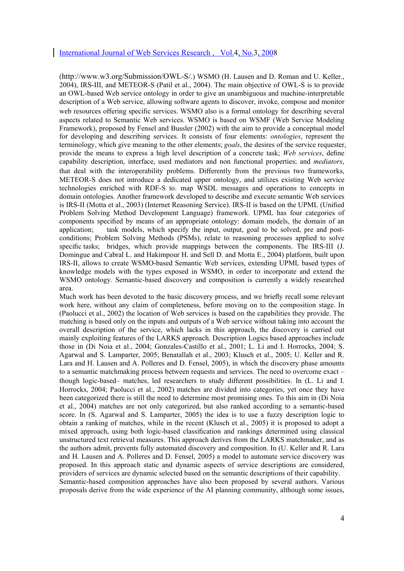(http://www.w3.org/Submission/OWL-S/.) WSMO (H. Lausen and D. Roman and U. Keller., 2004), IRS-III, and METEOR-S (Patil et al., 2004). The main objective of OWL-S is to provide an OWL-based Web service ontology in order to give an unambiguous and machine-interpretable description of a Web service, allowing software agents to discover, invoke, compose and monitor web resources offering specific services. WSMO also is a formal ontology for describing several aspects related to Semantic Web services. WSMO is based on WSMF (Web Service Modeling Framework), proposed by Fensel and Bussler (2002) with the aim to provide a conceptual model for developing and describing services. It consists of four elements: *ontologies*, represent the terminology, which give meaning to the other elements; *goals*, the desires of the service requester, provide the means to express a high level description of a concrete task; *Web services*, define capability description, interface, used mediators and non functional properties; and *mediators*, that deal with the interoperability problems. Differently from the previous two frameworks, METEOR-S does not introduce a dedicated upper ontology, and utilizes existing Web service technologies enriched with RDF-S to. map WSDL messages and operations to concepts in domain ontologies. Another framework developed to describe and execute semantic Web services is IRS-II (Motta et al., 2003) (Internet Reasoning Service). IRS-II is based on the UPML (Unified Problem Solving Method Development Language) framework. UPML has four categories of components specified by means of an appropriate ontology: domain models, the domain of an application; task models, which specify the input, output, goal to be solved, pre and postconditions; Problem Solving Methods (PSMs), relate to reasoning processes applied to solve specific tasks; bridges, which provide mappings between the components. The IRS-III (J. Domingue and Cabral L. and Hakimpour H. and Sell D. and Motta E., 2004) platform, built upon IRS-II, allows to create WSMO-based Semantic Web services, extending UPML based types of knowledge models with the types exposed in WSMO, in order to incorporate and extend the WSMO ontology. Semantic-based discovery and composition is currently a widely researched area.

Much work has been devoted to the basic discovery process, and we briefly recall some relevant work here, without any claim of completeness, before moving on to the composition stage. In (Paolucci et al., 2002) the location of Web services is based on the capabilities they provide. The matching is based only on the inputs and outputs of a Web service without taking into account the overall description of the service, which lacks in this approach, the discovery is carried out mainly exploiting features of the LARKS approach. Description Logics based approaches include those in (Di Noia et al., 2004; Gonzales-Castillo et al., 2001; L. Li and I. Horrocks, 2004; S. Agarwal and S. Lamparter, 2005; Benatallah et al., 2003; Klusch et al., 2005; U. Keller and R. Lara and H. Lausen and A. Polleres and D. Fensel, 2005), in which the discovery phase amounts to a semantic matchmaking process between requests and services. The need to overcome exact – though logic-based– matches, led researchers to study different possibilities. In (L. Li and I. Horrocks, 2004; Paolucci et al., 2002) matches are divided into categories, yet once they have been categorized there is still the need to determine most promising ones. To this aim in (Di Noia et al., 2004) matches are not only categorized, but also ranked according to a semantic-based score. In (S. Agarwal and S. Lamparter, 2005) the idea is to use a fuzzy description logic to obtain a ranking of matches, while in the recent (Klusch et al., 2005) it is proposed to adopt a mixed approach, using both logic-based classification and rankings determined using classical unstructured text retrieval measures. This approach derives from the LARKS matchmaker, and as the authors admit, prevents fully automated discovery and composition. In (U. Keller and R. Lara and H. Lausen and A. Polleres and D. Fensel, 2005) a model to automate service discovery was proposed. In this approach static and dynamic aspects of service descriptions are considered, providers of services are dynamic selected based on the semantic descriptions of their capability. Semantic-based composition approaches have also been proposed by several authors. Various proposals derive from the wide experience of the AI planning community, although some issues,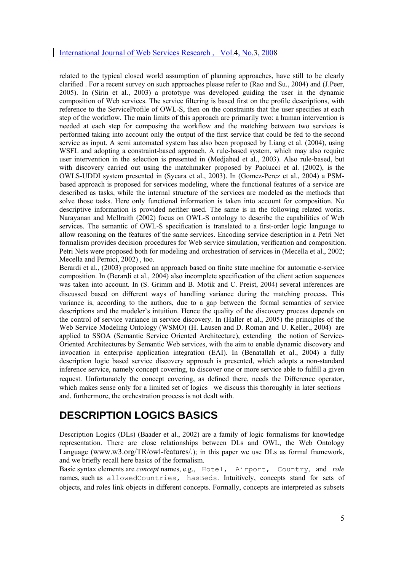related to the typical closed world assumption of planning approaches, have still to be clearly clarified . For a recent survey on such approaches please refer to (Rao and Su., 2004) and (J.Peer, 2005). In (Sirin et al., 2003) a prototype was developed guiding the user in the dynamic composition of Web services. The service filtering is based first on the profile descriptions, with reference to the ServiceProfile of OWL-S, then on the constraints that the user specifies at each step of the workflow. The main limits of this approach are primarily two: a human intervention is needed at each step for composing the workflow and the matching between two services is performed taking into account only the output of the first service that could be fed to the second service as input. A semi automated system has also been proposed by Liang et al. (2004), using WSFL and adopting a constraint-based approach. A rule-based system, which may also require user intervention in the selection is presented in (Medjahed et al., 2003). Also rule-based, but with discovery carried out using the matchmaker proposed by Paolucci et al. (2002), is the OWLS-UDDI system presented in (Sycara et al., 2003). In (Gomez-Perez et al., 2004) a PSMbased approach is proposed for services modeling, where the functional features of a service are described as tasks, while the internal structure of the services are modeled as the methods that solve those tasks. Here only functional information is taken into account for composition. No descriptive information is provided neither used. The same is in the following related works. Narayanan and McIlraith (2002) focus on OWL-S ontology to describe the capabilities of Web services. The semantic of OWL-S specification is translated to a first-order logic language to allow reasoning on the features of the same services. Encoding service description in a Petri Net formalism provides decision procedures for Web service simulation, verification and composition. Petri Nets were proposed both for modeling and orchestration of services in (Mecella et al., 2002; Mecella and Pernici, 2002) , too.

Berardi et al., (2003) proposed an approach based on finite state machine for automatic e-service composition. In (Berardi et al., 2004) also incomplete specification of the client action sequences was taken into account. In (S. Grimm and B. Motik and C. Preist, 2004) several inferences are discussed based on different ways of handling variance during the matching process. This variance is, according to the authors, due to a gap between the formal semantics of service descriptions and the modeler's intuition. Hence the quality of the discovery process depends on the control of service variance in service discovery. In (Haller et al., 2005) the principles of the Web Service Modeling Ontology (WSMO) (H. Lausen and D. Roman and U. Keller., 2004) are applied to SSOA (Semantic Service Oriented Architecture), extending the notion of Service-Oriented Architectures by Semantic Web services, with the aim to enable dynamic discovery and invocation in enterprise application integration (EAI). In (Benatallah et al., 2004) a fully description logic based service discovery approach is presented, which adopts a non-standard inference service, namely concept covering, to discover one or more service able to fulfill a given request. Unfortunately the concept covering, as defined there, needs the Difference operator, which makes sense only for a limited set of logics –we discuss this thoroughly in later sections– and, furthermore, the orchestration process is not dealt with.

# **DESCRIPTION LOGICS BASICS**

Description Logics (DLs) (Baader et al., 2002) are a family of logic formalisms for knowledge representation. There are close relationships between DLs and OWL, the Web Ontology Language (www.w3.org/TR/owl-features/.); in this paper we use DLs as formal framework, and we briefly recall here basics of the formalism.

Basic syntax elements are *concept* names, e.g., Hotel, Airport, Country, and *role* names, such as allowedCountries, hasBeds. Intuitively, concepts stand for sets of objects, and roles link objects in different concepts. Formally, concepts are interpreted as subsets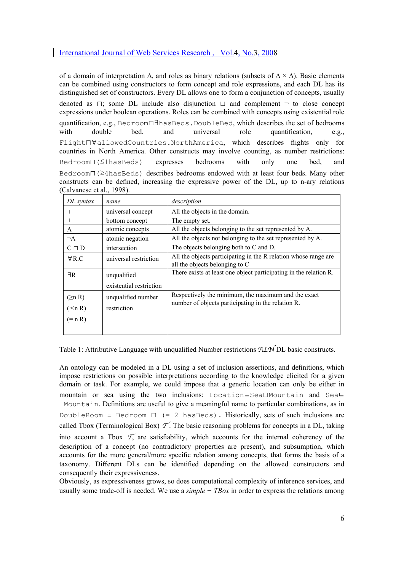of a domain of interpretation  $\Delta$ , and roles as binary relations (subsets of  $\Delta \times \Delta$ ). Basic elements can be combined using constructors to form concept and role expressions, and each DL has its distinguished set of constructors. Every DL allows one to form a conjunction of concepts, usually

denoted as ⊓; some DL include also disjunction ⊔ and complement ¬ to close concept expressions under boolean operations. Roles can be combined with concepts using existential role quantification, e.g., Bedroom⊓∃hasBeds.DoubleBed, which describes the set of bedrooms with double bed, and universal role quantification, e.g., Flight⊓∀allowedCountries.NorthAmerica, which describes flights only for countries in North America. Other constructs may involve counting, as number restrictions: Bedroom∏(≤1hasBeds) expresses bedrooms with only one bed, Bedroom⊓(≥4hasBeds) describes bedrooms endowed with at least four beds. Many other constructs can be defined, increasing the expressive power of the DL, up to n-ary relations (Calvanese et al., 1998).

| DL syntax     | name                    | description                                                                                               |
|---------------|-------------------------|-----------------------------------------------------------------------------------------------------------|
| т             | universal concept       | All the objects in the domain.                                                                            |
| 丄             | bottom concept          | The empty set.                                                                                            |
| A             | atomic concepts         | All the objects belonging to the set represented by A.                                                    |
| $\neg A$      | atomic negation         | All the objects not belonging to the set represented by A.                                                |
| $C \sqcap D$  | intersection            | The objects belonging both to C and D.                                                                    |
| $\forall$ R.C | universal restriction   | All the objects participating in the R relation whose range are<br>all the objects belonging to C         |
| $\exists R$   | unqualified             | There exists at least one object participating in the relation R.                                         |
|               | existential restriction |                                                                                                           |
| $(\geq n R)$  | unqualified number      | Respectively the minimum, the maximum and the exact<br>number of objects participating in the relation R. |
| $(\leq n R)$  | restriction             |                                                                                                           |
| $(=nR)$       |                         |                                                                                                           |

Table 1: Attributive Language with unqualified Number restrictions ALN DL basic constructs.

An ontology can be modeled in a DL using a set of inclusion assertions, and definitions, which impose restrictions on possible interpretations according to the knowledge elicited for a given domain or task. For example, we could impose that a generic location can only be either in mountain or sea using the two inclusions: Location⊑Sea⊔Mountain and Sea⊑ ¬Mountain. Definitions are useful to give a meaningful name to particular combinations, as in DoubleRoom  $\equiv$  Bedroom  $\Box$  (= 2 hasBeds). Historically, sets of such inclusions are called Tbox (Terminological Box)  $\mathcal{T}'$ . The basic reasoning problems for concepts in a DL, taking into account a Tbox  $\mathcal{T}'$  are satisfiability, which accounts for the internal coherency of the description of a concept (no contradictory properties are present), and subsumption, which accounts for the more general/more specific relation among concepts, that forms the basis of a taxonomy. Different DLs can be identified depending on the allowed constructors and consequently their expressiveness.

Obviously, as expressiveness grows, so does computational complexity of inference services, and usually some trade-off is needed. We use a *simple − TBox* in order to express the relations among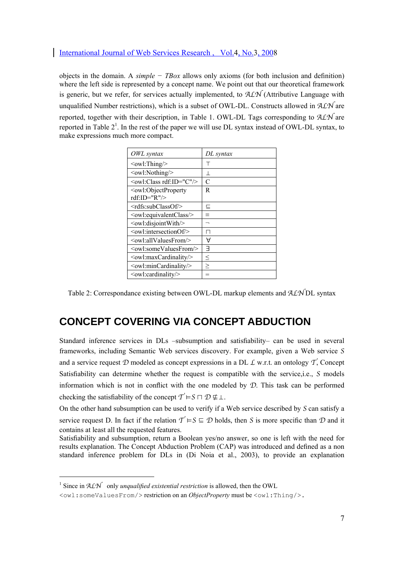objects in the domain. A *simple − TBox* allows only axioms (for both inclusion and definition) where the left side is represented by a concept name. We point out that our theoretical framework is generic, but we refer, for services actually implemented, to  $A\mathcal{LN}$  (Attributive Language with unqualified Number restrictions), which is a subset of OWL-DL. Constructs allowed in  $ALN$  are reported, together with their description, in Table 1. OWL-DL Tags corresponding to ALN are reported in Table  $2<sup>1</sup>$ . In the rest of the paper we will use DL syntax instead of OWL-DL syntax, to make expressions much more compact.

| DL syntax |
|-----------|
| Т         |
| $\bot$    |
| C         |
| R         |
|           |
| 드         |
| $\equiv$  |
| ⇁         |
| ΙI        |
| A         |
| ㅋ         |
| ≤         |
| $\geq$    |
|           |
|           |

Table 2: Correspondance existing between OWL-DL markup elements and  $ALNDL$  syntax

# **CONCEPT COVERING VIA CONCEPT ABDUCTION**

Standard inference services in DLs –subsumption and satisfiability– can be used in several frameworks, including Semantic Web services discovery. For example, given a Web service S and a service request  $D$  modeled as concept expressions in a DL  $L$  w.r.t. an ontology  $T$ , Concept Satisfiability can determine whether the request is compatible with the service,i.e., S models information which is not in conflict with the one modeled by  $D$ . This task can be performed checking the satisfiability of the concept  $\mathcal{T} \models S \sqcap \mathcal{D} \not\subseteq \bot$ .

On the other hand subsumption can be used to verify if a Web service described by S can satisfy a service request D. In fact if the relation  $T = S \subseteq D$  holds, then S is more specific than D and it contains at least all the requested features.

Satisfiability and subsumption, return a Boolean yes/no answer, so one is left with the need for results explanation. The Concept Abduction Problem (CAP) was introduced and defined as a non standard inference problem for DLs in (Di Noia et al., 2003), to provide an explanation

l

<sup>&</sup>lt;sup>1</sup> Since in  $ALN$  only *unqualified existential restriction* is allowed, then the OWL

 $\{\text{row1:someValuesFrom/}>\text{restriction on an *ObjectProperty* must be  $\{\text{row1:} \text{This is a } \}$ .$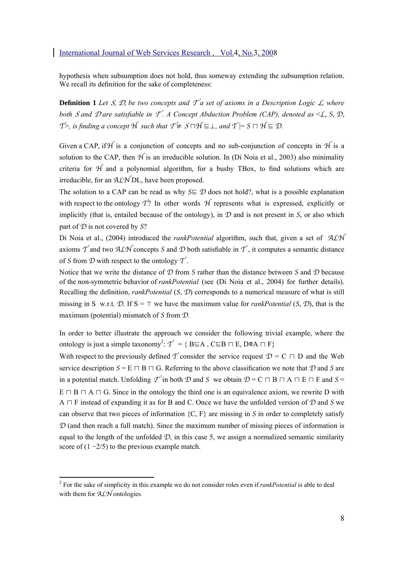hypothesis when subsumption does not hold, thus someway extending the subsumption relation. We recall its definition for the sake of completeness:

**Definition 1** Let *S*, *D*, be two concepts and  $T^{\prime}$  a set of axioms in a Description Logic *L*, where *both S and*  $\mathcal D$  *are satisfiable in*  $\mathcal T$ *. A Concept Abduction Problem (CAP), denoted as* <  $\mathcal L$ ,  $S$ ,  $\mathcal D$ ,  $\mathcal{T}$ <sup>></sup>, is finding a concept  $\mathcal{H}$  such that  $\mathcal{T} \not\models S \sqcap \mathcal{H} \sqsubseteq \bot$ , and  $\mathcal{T} \models S \sqcap \mathcal{H} \sqsubseteq \mathcal{D}$ .

Given a CAP, if H is a conjunction of concepts and no sub-conjunction of concepts in  $H$  is a solution to the CAP, then  $H$  is an irreducible solution. In (Di Noia et al., 2003) also minimality criteria for  $H$  and a polynomial algorithm, for a bushy TBox, to find solutions which are irreducible, for an ALN DL, have been proposed.

The solution to a CAP can be read as why  $S \subseteq \mathcal{D}$  does not hold?, what is a possible explanation with respect to the ontology  $\vec{T}$ ? In other words  $\vec{H}$  represents what is expressed, explicitly or implicitly (that is, entailed because of the ontology), in  $D$  and is not present in S, or also which part of  $D$  is not covered by  $S$ ?

Di Noia et al., (2004) introduced the *rankPotential* algorithm, such that, given a set of ALN axioms  $T$  and two ALN concepts S and D both satisfiable in  $T$ , it computes a semantic distance of S from  $\mathcal D$  with respect to the ontology  $\mathcal T$ .

Notice that we write the distance of  $\mathcal D$  from S rather than the distance between S and  $\mathcal D$  because of the non-symmetric behavior of *rankPotential* (see (Di Noia et al., 2004) for further details). Recalling the definition, *rankPotential* (S, D) corresponds to a numerical measure of what is still missing in S w.r.t.  $\mathcal{D}$ . If S =  $\top$  we have the maximum value for *rankPotential* (S,  $\mathcal{D}$ ), that is the maximum (potential) mismatch of S from D.

In order to better illustrate the approach we consider the following trivial example, where the ontology is just a simple taxonomy<sup>2</sup>:  $\mathcal{T}' = \{ \text{B} \sqsubseteq \text{A}, \text{C} \sqsubseteq \text{B} \sqcap \text{E}, \text{D} \sqsubseteq \text{A} \sqcap \text{F} \}$ 

With respect to the previously defined T consider the service request  $\mathcal{D} = C \cap D$  and the Web service description  $S = E \cap B \cap G$ . Referring to the above classification we note that D and S are in a potential match. Unfolding  $\mathcal T$  in both  $\mathcal D$  and S we obtain  $\mathcal D = C \cap B \cap A \cap E \cap F$  and S =  $E \sqcap B \sqcap A \sqcap G$ . Since in the ontology the third one is an equivalence axiom, we rewrite D with A  $\sqcap$  F instead of expanding it as for B and C. Once we have the unfolded version of D and S we can observe that two pieces of information  $\{C, F\}$  are missing in S in order to completely satisfy  $D$  (and then reach a full match). Since the maximum number of missing pieces of information is equal to the length of the unfolded  $D$ , in this case 5, we assign a normalized semantic similarity score of  $(1 - 2/5)$  to the previous example match.

 $\overline{a}$ 

<sup>2</sup> For the sake of simplicity in this example we do not consider roles even if *rankPotential* is able to deal with them for ALN ontologies.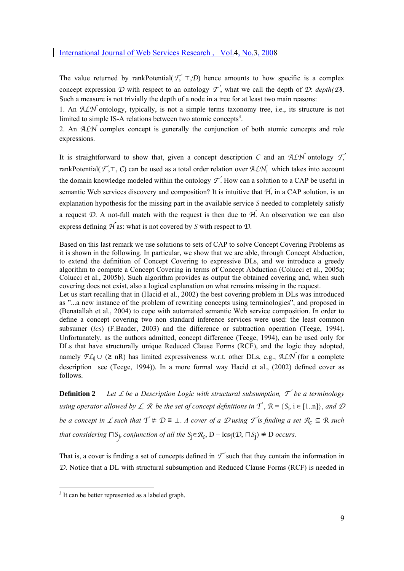The value returned by rankPotential( $T'$ , ⊤,  $D$ ) hence amounts to how specific is a complex concept expression D with respect to an ontology  $\mathcal{T}$ , what we call the depth of D: *depth(D)*. Such a measure is not trivially the depth of a node in a tree for at least two main reasons:

1. An ALN ontology, typically, is not a simple terms taxonomy tree, i.e., its structure is not limited to simple IS-A relations between two atomic concepts<sup>3</sup>.

2. An  $ALN$  complex concept is generally the conjunction of both atomic concepts and role expressions.

It is straightforward to show that, given a concept description C and an  $ALN$  ontology  $T$ , rankPotential( $\mathcal{T}$ ,  $\top$ ,  $C$ ) can be used as a total order relation over ALN, which takes into account the domain knowledge modeled within the ontology  $\mathcal{T}$ . How can a solution to a CAP be useful in semantic Web services discovery and composition? It is intuitive that  $H$ , in a CAP solution, is an explanation hypothesis for the missing part in the available service S needed to completely satisfy a request  $\mathcal{D}$ . A not-full match with the request is then due to  $\mathcal{H}$ . An observation we can also express defining  $H$  as: what is not covered by S with respect to  $D$ .

Based on this last remark we use solutions to sets of CAP to solve Concept Covering Problems as it is shown in the following. In particular, we show that we are able, through Concept Abduction, to extend the definition of Concept Covering to expressive DLs, and we introduce a greedy algorithm to compute a Concept Covering in terms of Concept Abduction (Colucci et al., 2005a; Colucci et al., 2005b). Such algorithm provides as output the obtained covering and, when such covering does not exist, also a logical explanation on what remains missing in the request. Let us start recalling that in (Hacid et al., 2002) the best covering problem in DLs was introduced as "...a new instance of the problem of rewriting concepts using terminologies", and proposed in (Benatallah et al., 2004) to cope with automated semantic Web service composition. In order to define a concept covering two non standard inference services were used: the least common subsumer (*lcs*) (F.Baader, 2003) and the difference or subtraction operation (Teege, 1994). Unfortunately, as the authors admitted, concept difference (Teege, 1994), can be used only for DLs that have structurally unique Reduced Clause Forms (RCF), and the logic they adopted, namely  $FL_0 \cup ( \geq nR)$  has limited expressiveness w.r.t. other DLs, e.g., ALN (for a complete description see (Teege, 1994)). In a more formal way Hacid et al., (2002) defined cover as follows.

**Definition 2** Let *L* be a Description Logic with structural subsumption,  $\mathcal{T}$  be a terminology *using operator allowed by*  $\angle$ *, R be the set of concept definitions in*  $\top$ ,  $\mathcal{R} = \{S_i, i \in [1..n]\}$ *, and*  $\mathcal{D}$ *be a concept in*  $\angle$  *such that*  $\top \neq \mathcal{D} \equiv \bot$ . A cover of a  $\mathcal{D}$  using  $\top$  is finding a set  $\mathcal{R}_c \subseteq \mathcal{R}$  such  $\top$ *that considering*  $\sqcap S_j$ *, conjunction of all the*  $S_j \in \mathcal{R}_c$ , D – lcs<sub>I</sub>(D,  $\sqcap S_j$ ) ≢ D occurs.

That is, a cover is finding a set of concepts defined in  $\mathcal{T}'$  such that they contain the information in D. Notice that a DL with structural subsumption and Reduced Clause Forms (RCF) is needed in

<sup>&</sup>lt;sup>3</sup> It can be better represented as a labeled graph.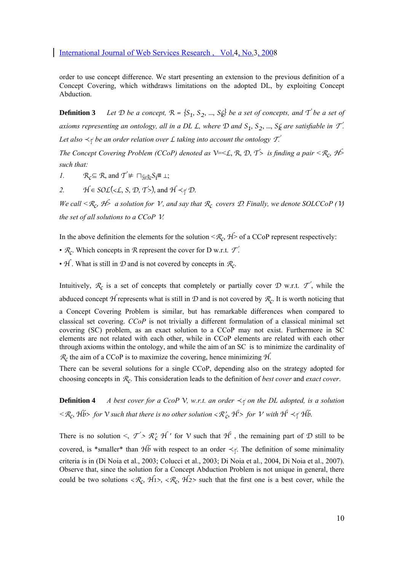order to use concept difference. We start presenting an extension to the previous definition of a Concept Covering, which withdraws limitations on the adopted DL, by exploiting Concept Abduction.

**Definition 3** *Let*  $D$  *be a concept,*  $R = \{S_1, S_2, ..., S_6\}$  *be a set of concepts, and*  $T$  *be a set of axioms representing an ontology, all in a DL L, where*  $D$  *and*  $S_1$ ,  $S_2$ , ...,  $S_k$  *are satisfiable in*  $T$ . *Let also*  $\prec$ <sup> $\uparrow$ </sup> *be an order relation over L taking into account the ontology*  $\mathcal{T}$ *.* 

*The Concept Covering Problem (CCoP) denoted as*  $V=<\mathcal{L}, \mathcal{R}, \mathcal{D}, \mathcal{T}>$  *is finding a pair*  $\langle \mathcal{R}, \mathcal{H} \rangle$ *such that:* 

*1.*  $\mathcal{R}_c \subseteq \mathcal{R}$ , and  $\mathcal{T}' \not\models \Box_{\text{Nis}} \mathcal{S}_i \equiv \bot;$ 

2.  $\mathcal{H} \in SOL(\leq \mathcal{L}, S, \mathcal{D}, \mathcal{T}^{>})$ , and  $\mathcal{H} \leq \tau \mathcal{D}$ .

*We call*  $\lt R_c$ ,  $\cancel{H}$  a solution for V, and say that  $R_c$  covers D. Finally, we denote SOLCCoP (V) *the set of all solutions to a CCoP* V*.* 

In the above definition the elements for the solution  $\langle R_c, H \rangle$  of a CCoP represent respectively:

•  $\mathcal{R}_c$ . Which concepts in  $\mathcal{R}$  represent the cover for D w.r.t.  $\mathcal{T}'$ .

•  $H$ . What is still in  $D$  and is not covered by concepts in  $\mathcal{R}_C$ .

Intuitively,  $\mathcal{R}_c$  is a set of concepts that completely or partially cover D w.r.t.  $\mathcal{T}'$ , while the abduced concept H represents what is still in D and is not covered by  $\mathcal{R}_c$ . It is worth noticing that

a Concept Covering Problem is similar, but has remarkable differences when compared to classical set covering. *CCoP* is not trivially a different formulation of a classical minimal set covering (SC) problem, as an exact solution to a CCoP may not exist. Furthermore in SC elements are not related with each other, while in CCoP elements are related with each other through axioms within the ontology, and while the aim of an SC is to minimize the cardinality of  $\mathcal{R}_c$  the aim of a CCoP is to maximize the covering, hence minimizing  $\mathcal{H}$ .

There can be several solutions for a single CCoP, depending also on the strategy adopted for choosing concepts in Rc. This consideration leads to the definition of *best cover* and *exact cover*.

**Definition 4** *A best cover for a CcoP V, w.r.t. an order*  $\prec$  $\uparrow$  *on the DL adopted, is a solution*  $\langle R_c, Hb \rangle$  *for*  $V$  *such that there is no other solution*  $\langle R'_c, H' \rangle$  *for*  $V$  *with*  $H' \prec_{\Gamma} H b$ .

There is no solution  $\leq$ ,  $\mathcal{T} > \mathcal{R}'_c$  H' for V such that  $\mathcal{H}'$ , the remaining part of D still to be covered, is \*smaller\* than  $Hb$  with respect to an order  $\prec_{\tau}$ . The definition of some minimality criteria is in (Di Noia et al., 2003; Colucci et al., 2003; Di Noia et al., 2004, Di Noia et al., 2007). Observe that, since the solution for a Concept Abduction Problem is not unique in general, there could be two solutions  $\langle \mathcal{R}_c, \mathcal{H}_1 \rangle, \langle \mathcal{R}_c, \mathcal{H}_2 \rangle$  such that the first one is a best cover, while the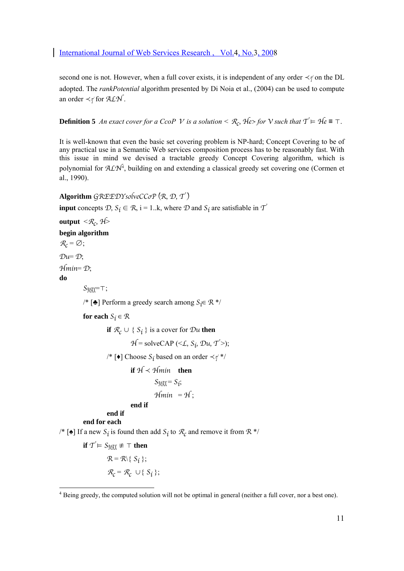second one is not. However, when a full cover exists, it is independent of any order  $\prec$ <sub>T</sub> on the DL adopted. The *rankPotential* algorithm presented by Di Noia et al., (2004) can be used to compute an order  $\prec$  for ALN.

**Definition 5** *An exact cover for a CcoP V is a solution* <  $\mathcal{R}_c$ ,  $\mathcal{H}e$ > *for*  $V$  *such that*  $T \models \mathcal{H}e \equiv T$ .

It is well-known that even the basic set covering problem is NP-hard; Concept Covering to be of any practical use in a Semantic Web services composition process has to be reasonably fast. With this issue in mind we devised a tractable greedy Concept Covering algorithm, which is polynomial for  $A\mathcal{L}N^4$ , building on and extending a classical greedy set covering one (Cormen et al., 1990).

**Algorithm** GREEDYsolveCCoP (R, D, T )

**input** concepts  $D, S_i \in \mathcal{R}, i = 1..k$ , where  $D$  and  $S_i$  are satisfiable in  $T'$ 

**output**  $\langle \mathcal{R}_c, \mathcal{H} \rangle$ 

**begin algorithm**

 $\mathcal{R}_c = \varnothing;$  $\mathcal{D}u = \mathcal{D}$ : Hmin= D; **do** 

SMAX=⊤;

/\* [♣] Perform a greedy search among  $S_i \in \mathbb{R}^*$ /

**for each**  $S_i \in \mathcal{R}$ 

**if**  $\mathcal{R}_c \cup \{S_i\}$  is a cover for  $\mathcal{D}u$  then

 $H = \text{solveCAP } (\leq L, S_i, \mathcal{D}u, T^{\geq})$ ;

/\* [♦] Choose  $S_i$  based on an order  $\prec_{\uparrow}$  \*/

$$
\text{if } \mathcal{H} < \mathcal{H} \text{min} \quad \text{then} \\
S_{\text{MAX}} = S_i; \\
\mathcal{H} \text{min} = \mathcal{H}; \\
\text{end if}
$$

# **end if**

**end for each** 

/\* [ $\triangleq$ ] If a new  $S_i$  is found then add  $S_i$  to  $\mathcal{R}_c$  and remove it from  $\mathcal{R}^*$ /

 $\};$ 

$$
\text{if } \mathcal{T} \models S_{\text{MAX}} \not\equiv \top \text{ then}
$$
\n
$$
\mathcal{R} = \mathcal{R} \setminus \{ S_i \};
$$
\n
$$
\mathcal{R}_c = \mathcal{R}_c \cup \{ S_i
$$

<sup>&</sup>lt;sup>4</sup> Being greedy, the computed solution will not be optimal in general (neither a full cover, nor a best one).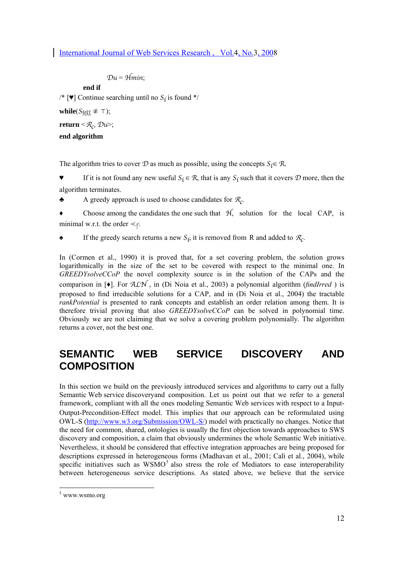```
Du = Hmin
```
**end if** 

/\* [ $\blacktriangledown$ ] Continue searching until no  $S_i$  is found \*/

**while**( $S_{\text{MAX}} \not\equiv \top$ );

**return**  $\leq R_c$ ,  $\mathcal{D}u$  $\geq$ ;

### **end algorithm**

The algorithm tries to cover  $D$  as much as possible, using the concepts  $S_i \in \mathcal{R}$ .

If it is not found any new useful  $S_i \in \mathcal{R}$ , that is any  $S_i$  such that it covers  $\mathcal D$  more, then the algorithm terminates.

A greedy approach is used to choose candidates for  $\mathcal{R}_c$ .

 $\bullet$  Choose among the candidates the one such that  $\mathcal{H}$ , solution for the local CAP, is minimal w.r.t. the order  $\prec \tau$ .

**Example 1** If the greedy search returns a new  $S_i$ , it is removed from R and added to  $\mathcal{R}_c$ .

In (Cormen et al., 1990) it is proved that, for a set covering problem, the solution grows logarithmically in the size of the set to be covered with respect to the minimal one. In *GREEDYsolveCCoP* the novel complexity source is in the solution of the CAPs and the comparison in [♦]. For ALN , in (Di Noia et al., 2003) a polynomial algorithm (*findIrred* ) is proposed to find irreducible solutions for a CAP, and in (Di Noia et al., 2004) the tractable *rankPotential* is presented to rank concepts and establish an order relation among them. It is therefore trivial proving that also *GREEDYsolveCCoP* can be solved in polynomial time. Obviously we are not claiming that we solve a covering problem polynomially. The algorithm returns a cover, not the best one.

# **SEMANTIC WEB SERVICE DISCOVERY AND COMPOSITION**

In this section we build on the previously introduced services and algorithms to carry out a fully Semantic Web service discovery and composition. Let us point out that we refer to a general framework, compliant with all the ones modeling Semantic Web services with respect to a Input-Output-Precondition-Effect model. This implies that our approach can be reformulated using OWL-S (http://www.w3.org/Submission/OWL-S/) model with practically no changes. Notice that the need for common, shared, ontologies is usually the first objection towards approaches to SWS discovery and composition, a claim that obviously undermines the whole Semantic Web initiative. Nevertheless, it should be considered that effective integration approaches are being proposed for descriptions expressed in heterogeneous forms (Madhavan et al., 2001; Calì et al., 2004), while specific initiatives such as  $WSMO<sup>5</sup>$  also stress the role of Mediators to ease interoperability between heterogeneous service descriptions. As stated above, we believe that the service

 $\overline{a}$ 

<sup>5</sup> www.wsmo.org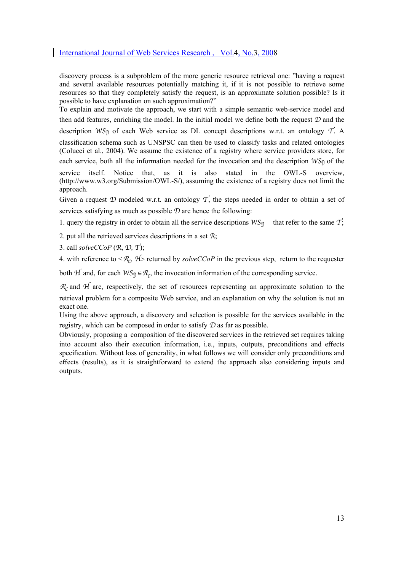discovery process is a subproblem of the more generic resource retrieval one: "having a request and several available resources potentially matching it, if it is not possible to retrieve some resources so that they completely satisfy the request, is an approximate solution possible? Is it possible to have explanation on such approximation?"

To explain and motivate the approach, we start with a simple semantic web-service model and then add features, enriching the model. In the initial model we define both the request  $D$  and the description WS<sub>D</sub> of each Web service as DL concept descriptions w.r.t. an ontology  $T$ . A classification schema such as UNSPSC can then be used to classify tasks and related ontologies (Colucci et al., 2004). We assume the existence of a registry where service providers store, for each service, both all the information needed for the invocation and the description  $WS_{\mathcal{D}}$  of the service itself. Notice that, as it is also stated in the OWL-S overview, (http://www.w3.org/Submission/OWL-S/), assuming the existence of a registry does not limit the approach.

Given a request D modeled w.r.t. an ontology T, the steps needed in order to obtain a set of services satisfying as much as possible  $D$  are hence the following:

1. query the registry in order to obtain all the service descriptions  $WS_{\text{n}}$  that refer to the same T;

2. put all the retrieved services descriptions in a set R;

3. call *solveCCoP* (R, D, T);

4. with reference to  $\langle R_c, H \rangle$  returned by *solveCCoP* in the previous step, return to the requester

both  $H$  and, for each  $WS_{\mathcal{D}} \in \mathcal{R}_c$ , the invocation information of the corresponding service.

 $\mathcal{R}_c$  and  $\mathcal H$  are, respectively, the set of resources representing an approximate solution to the retrieval problem for a composite Web service, and an explanation on why the solution is not an exact one.

Using the above approach, a discovery and selection is possible for the services available in the registry, which can be composed in order to satisfy D as far as possible.

Obviously, proposing a composition of the discovered services in the retrieved set requires taking into account also their execution information, i.e., inputs, outputs, preconditions and effects specification. Without loss of generality, in what follows we will consider only preconditions and effects (results), as it is straightforward to extend the approach also considering inputs and outputs.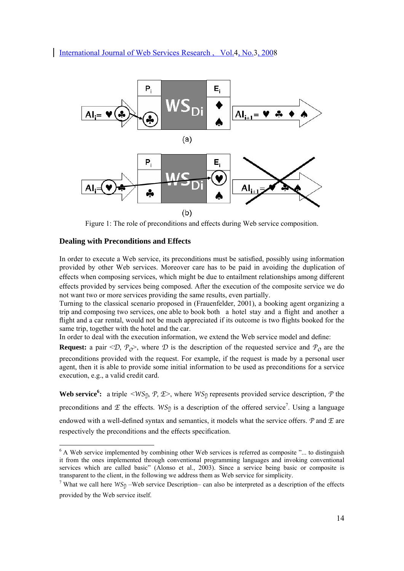

Figure 1: The role of preconditions and effects during Web service composition.

#### **Dealing with Preconditions and Effects**

In order to execute a Web service, its preconditions must be satisfied, possibly using information provided by other Web services. Moreover care has to be paid in avoiding the duplication of effects when composing services, which might be due to entailment relationships among different effects provided by services being composed. After the execution of the composite service we do not want two or more services providing the same results, even partially.

Turning to the classical scenario proposed in (Frauenfelder, 2001), a booking agent organizing a trip and composing two services, one able to book both a hotel stay and a flight and another a flight and a car rental, would not be much appreciated if its outcome is two flights booked for the same trip, together with the hotel and the car.

In order to deal with the execution information, we extend the Web service model and define:

**Request:** a pair  $\langle D, P_{\alpha} \rangle$ , where  $D$  is the description of the requested service and  $P_{\alpha}$  are the preconditions provided with the request. For example, if the request is made by a personal user agent, then it is able to provide some initial information to be used as preconditions for a service execution, e.g., a valid credit card.

**Web service<sup>6</sup>:** a triple  $\langle WS_{\mathcal{D}}, \mathcal{P}, \mathcal{I}\rangle$ , where  $WS_{\mathcal{D}}$  represents provided service description,  $\mathcal{P}$  the preconditions and  $\mathcal E$  the effects.  $WS_{\mathcal{D}}$  is a description of the offered service<sup>7</sup>. Using a language endowed with a well-defined syntax and semantics, it models what the service offers.  $P$  and  $E$  are respectively the preconditions and the effects specification.

<sup>&</sup>lt;sup>6</sup> A Web service implemented by combining other Web services is referred as composite "... to distinguish it from the ones implemented through conventional programming languages and invoking conventional services which are called basic" (Alonso et al., 2003). Since a service being basic or composite is transparent to the client, in the following we address them as Web service for simplicity.

<sup>&</sup>lt;sup>7</sup> What we call here  $WS_{\text{D}}$  –Web service Description– can also be interpreted as a description of the effects provided by the Web service itself.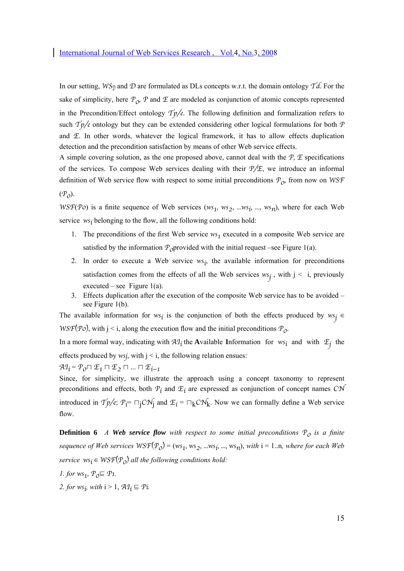In our setting,  $WS_{\eta}$  and D are formulated as DLs concepts w.r.t. the domain ontology  $Td$ . For the sake of simplicity, here  $\mathcal{P}_0$ ,  $\mathcal P$  and  $\mathcal E$  are modeled as conjunction of atomic concepts represented in the Precondition/Effect ontology  $T_p/e$ . The following definition and formalization refers to such  $T_p/e$  ontology but they can be extended considering other logical formulations for both  $P$ and  $E$ . In other words, whatever the logical framework, it has to allow effects duplication detection and the precondition satisfaction by means of other Web service effects.

A simple covering solution, as the one proposed above, cannot deal with the  $P$ ,  $E$  specifications of the services. To compose Web services dealing with their  $P/E$ , we introduce an informal definition of Web service flow with respect to some initial preconditions  $P_0$ , from now on WSF

 $(\mathcal{P}_0)$ .

WSF(Po) is a finite sequence of Web services (ws<sub>1</sub>, ws<sub>2</sub>, ...ws<sub>1</sub>, ..., ws<sub>n</sub>), where for each Web service  $ws_i$  belonging to the flow, all the following conditions hold:

- 1. The preconditions of the first Web service  $ws_1$  executed in a composite Web service are satisfied by the information  $P_0$ provided with the initial request –see Figure 1(a).
- 2. In order to execute a Web service  $ws_i$ , the available information for preconditions satisfaction comes from the effects of all the Web services  $ws_j$ , with  $j \leq i$ , previously executed – see Figure  $1(a)$ .
- 3. Effects duplication after the execution of the composite Web service has to be avoided see Figure 1(b).

The available information for ws<sub>i</sub> is the conjunction of both the effects produced by ws<sub>i</sub> ∈ WSF(Po), with j < i, along the execution flow and the initial preconditions  $P_0$ .

In a more formal way, indicating with  $A1_i$  the **A**vailable Information for  $ws_i$  and with  $E_j$  the effects produced by wsj, with  $j \leq i$ , the following relation ensues:

 $\mathcal{A}\mathcal{I}_i = \mathcal{P}_0 \sqcap \mathcal{E}_1 \sqcap \mathcal{E}_2 \sqcap ... \sqcap \mathcal{E}_{i-1}$ 

Since, for simplicity, we illustrate the approach using a concept taxonomy to represent preconditions and effects, both  $P_i$  and  $\mathcal{I}_i$  are expressed as conjunction of concept names CN introduced in  $T_p/e$ ;  $P_i = \bigcap_i C N_i$  and  $\mathcal{I}_i = \bigcap_k C N_k$ . Now we can formally define a Web service flow.

**Definition 6** *A Web service flow with respect to some initial preconditions* $P_0$ *is a finite sequence of Web services*  $WST(\mathcal{P}_0) = (ws_1, ws_2, ...ws_i, ..., ws_n)$ , *with*  $i = 1..n$ , *where for each Web service*  $ws_i \in \text{WSF}(P_0)$  *all the following conditions hold:* 

- *1. for*  $ws_1$ ,  $P_0 \subseteq P1$ .
- 2. for ws<sub>i</sub>, with  $i > 1$ ,  $\mathcal{A}1_i \subseteq \mathcal{P}$ *i.*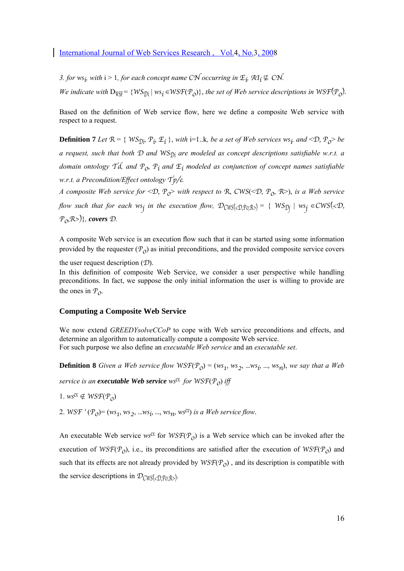*3. for*  $ws_i$ , with  $i > 1$ , for each concept name CN occurring in  $\mathcal{F}_i$ ,  $\mathcal{A}\mathcal{I}_i \not\subseteq \mathcal{CN}$ .

*We indicate with*  $D_{WSF} = \{WS_{\text{D}i} | ws_i \in WSF(\mathcal{P}_0)\}$ *, the set of Web service descriptions in*  $WSF(\mathcal{P}_0)$ *.* 

Based on the definition of Web service flow, here we define a composite Web service with respect to a request.

**Definition 7** *Let*  $\mathbb{R} = \{WS_{\mathbb{D}i}, \mathbb{P}_i, \mathbb{E}_i\}$ *, with* i=1..k, *be a set of Web services*  $ws_i$ *, and*  $\langle \mathbb{D}, \mathbb{P}_0 \rangle$  *be a request, such that both*  $D$  *and*  $WS_{D_i}$  *are modeled as concept descriptions satisfiable w.r.t. a domain ontology*  $T\acute{d}$ , and  $P_0$ ,  $P_i$  and  $E_i$  modeled as conjunction of concept names satisfiable *w.r.t. a Precondition/Effect ontology* Tp/e*.* 

*A composite Web service for*  $\langle D, P_{\rho} \rangle$  with respect to R, CWS( $\langle D, P_{\rho}, R \rangle$ ), is a Web service *flow such that for each ws<sub>1</sub> in the execution flow,*  $\mathcal{D}_{CWS(\langle \mathcal{D}, \mathcal{P} \mathcal{O}, \mathcal{R} \rangle)} = \{WS_{\mathcal{D}1} \mid ws_{\mathcal{D}2} \in CWS(\langle \mathcal{D}, \mathcal{P} \mathcal{O}, \mathcal{P} \rangle) \}$ P0,R>)}*, covers* D*.* 

A composite Web service is an execution flow such that it can be started using some information provided by the requester  $(\mathcal{P}_0)$  as initial preconditions, and the provided composite service covers

the user request description  $(D)$ .

In this definition of composite Web Service, we consider a user perspective while handling preconditions. In fact, we suppose the only initial information the user is willing to provide are the ones in  $P_{\Omega}$ .

#### **Computing a Composite Web Service**

We now extend *GREEDYsolveCCoP* to cope with Web service preconditions and effects, and determine an algorithm to automatically compute a composite Web service. For such purpose we also define an *executable Web service* and an *executable set*.

**Definition 8** *Given a Web service flow*  $WSF(P_0) = (ws_1, ws_2, ...ws_i, ..., ws_n)$ , we say that a Web

*service is an executable Web service* ws<sup>ex</sup> for  $WSF(P_0)$  *iff* 

1. ws<sup>ex</sup> ∉ WSF( $P_0$ )

2. WSF  $'(P_0) = (ws_1, ws_2, \dots ws_i, \dots, ws_n, ws^{cX})$  *is a Web service flow.* 

An executable Web service wsex for  $WSF(\mathcal{P}_0)$  is a Web service which can be invoked after the execution of  $WSF(\mathcal{P}_0)$ , i.e., its preconditions are satisfied after the execution of  $WSF(\mathcal{P}_0)$  and such that its effects are not already provided by  $WST(\mathcal{P}_0)$ , and its description is compatible with the service descriptions in  $\mathcal{D}_{CWS(\langle \mathcal{D}, \mathcal{P}_0, \mathcal{R} \rangle)}$ .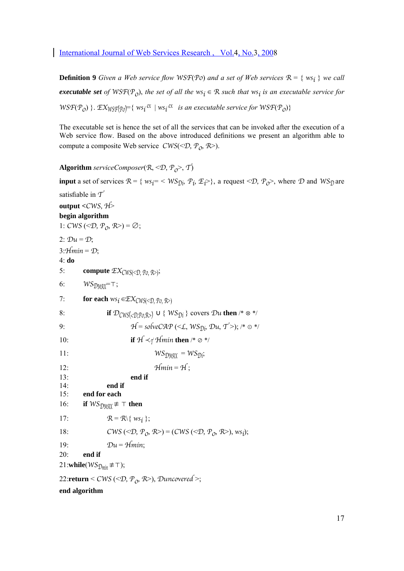**Definition 9** *Given a Web service flow WSF(Po) and a set of Web services*  $\mathcal{R} = \{ w s_i \}$  *we call executable set of*  $WSF(P_0)$ , *the set of all the*  $ws_i \in R$  *such that*  $ws_i$  *is an executable service for*  $WSF(P_O)$  }.  $EX_{WSF(P_O)} = \{ws_i^{\alpha} \mid ws_i^{\alpha} \text{ is an executable service for } WSF(P_O)\}$ 

The executable set is hence the set of all the services that can be invoked after the execution of a Web service flow. Based on the above introduced definitions we present an algorithm able to compute a composite Web service  $CWS( $\mathcal{D}, \mathcal{P}_0, \mathcal{R}$ >).$ 

**Algorithm** *serviceComposer*( $\mathbb{R}, \leq \mathbb{D}, \mathbb{P}_{\mathbb{Q}}$ ),  $\mathbb{T}$ )

**input** a set of services  $\mathcal{R} = \{ ws_i = \langle WS_{\eta}, \mathcal{P}_i, \mathcal{F}_i \rangle \}$ , a request  $\langle \mathcal{D}, \mathcal{P}_0 \rangle$ , where  $\mathcal{D}$  and  $WS_{\eta}$  are satisfiable in  $\mathcal{T}'$ **output <**CWS, H> **begin algorithm**  1:  $CWS \left( \langle \mathcal{D}, \mathcal{P}_0, \mathcal{R} \rangle \right) = \emptyset$ ; 2:  $\mathcal{D}u = \mathcal{D}$ ;  $3:$ Hmin = D; 4: **do**  5: **compute**  $\mathcal{EX}_{\mathcal{CWS}(\leq \mathcal{D}, \mathcal{P}_0, \mathcal{R}>)}$ ; 6:  $WS_{DMAX} = T$ ; 7: **for each**  $ws_i \in \mathcal{EX}_{CWS(*D, Po, R>*)}$ 8: **if**  $\mathcal{D}_{CWS(\langle \mathcal{D}, \mathcal{P} \rangle)} \cup \{WS_{\mathcal{D}i}\}\text{ covers } \mathcal{D}u\text{ then } /* \otimes */$ 9:  $H = solveCAP \ (\leq L, WS_{0i}, Du, T')$ ; /\*  $\odot$  \*/ 10: **if**  $H \prec \tau$  Hmin **then** /\* ⊘ \*/ 11:  $WS_{\text{DMAY}} = WS_{\text{DI}};$ 12:  $Hmin = H$ ; 13: **end if**  14: **end if**  15: **end for each**  16: **if**  $WS_{\text{DM4Y}}$ ≢ ⊤ **then** 17:  $\mathcal{R} = \mathcal{R} \setminus \{ws_i\};$ 18: CWS (< $\mathcal{D}, \mathcal{P}_0, \mathcal{R}$ >) = (CWS (< $\mathcal{D}, \mathcal{P}_0, \mathcal{R}$ >), ws<sub>i</sub>); 19:  $Du = Hmin$ 20: **end if**  21:**while**( $WS_{\text{Dimin}} \not\equiv \top$ ); 22: $return \le CWS \ (\le D, P_0, R>),$  Duncovered >;

**end algorithm**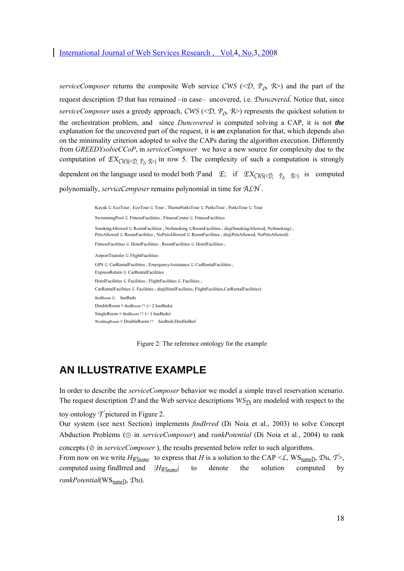*serviceComposer* returns the composite Web service CWS (< $\mathcal{D}$ ,  $\mathcal{P}_{\alpha}$ ,  $\mathcal{R}$ >) and the part of the request description D that has remained –in case– uncovered, i.e. Duncovered. Notice that, since *serviceComposer* uses a greedy approach, CWS (< $\mathcal{D}$ ,  $\mathcal{P}_0$ ,  $\mathcal{R}$ >) represents the quickest solution to the orchestration problem, and since *Duncovered* is computed solving a CAP, it is not *the* explanation for the uncovered part of the request, it is *an* explanation for that, which depends also on the minimality criterion adopted to solve the CAPs during the algorithm execution. Differently from *GREEDYsolveCCoP*, in *serviceComposer* we have a new source for complexity due to the computation of  $\mathcal{EX}_{\mathcal{CWS}(\langle \mathcal{D}, \mathcal{P}_0, \mathcal{R} \rangle)}$  in row 5. The complexity of such a computation is strongly dependent on the language used to model both P and  $\mathcal{F}$ ; if  $\mathcal{EX}_{CWS(\leq 0, \mathcal{P}_0, \mathcal{R})}$  is computed polynomially, serviceComposer remains polynomial in time for ALN.

> Kayak ⊑ EcoTour ; EcoTour ⊑ Tour ; ThemeParksTour ⊑ ParksTour ; ParksTour ⊑ Tour SwimmingPool ⊑ FitnessFacilities ; FitnessCenter ⊑ FitnessFacilities SmokingAllowed ⊑ RoomFacilities ; NoSmoking ⊑RoomFacilities ; disj(SmokingAllowed, NoSmoking) ; PetsAllowed ⊑ RoomFacilities ; NoPetsAllowed ⊑ RoomFacilities ; disj(PetsAllowed, NoPetsAllowed) FitnessFacilities ⊑ HotelFacilities ; RoomFacilities ⊑ HotelFacilities ; AirportTransfer ⊑ FlightFacilities GPS ⊑ CarRentalFacilities ; EmergencyAssistance ⊑ CarRentalFacilities ; ExpressReturn ⊑ CarRentalFacilities HotelFacilities ⊑ Facilities ; FlightFacilities ⊑ Facilities ; CarRentalFacilities ⊑ Facilities ; disj(HotelFacilities, FlightFacilities,CarRentalFacilities) BedRoom ⊑ hasBeds DoubleRoom ≡ BedRoom ⊓ (= 2 hasBeds) SingleRoom  $\equiv$  BedRoom  $\sqcap$  (= 1 hasBeds) WeddingRoom ≡ DoubleRoom ⊓ hasBeds.DoubleBed

> > Figure 2: The reference ontology for the example

# **AN ILLUSTRATIVE EXAMPLE**

In order to describe the *serviceComposer* behavior we model a simple travel reservation scenario. The request description  $D$  and the Web service descriptions  $WS_{\hat{D}i}$  are modeled with respect to the

toy ontology  $\mathcal T$  pictured in Figure 2.

Our system (see next Section) implements *findIrred* (Di Noia et al., 2003) to solve Concept Abduction Problems (⊙ in *serviceComposer*) and *rankPotential* (Di Noia et al., 2004) to rank concepts (⊘ in *serviceComposer* ), the results presented below refer to such algorithms.

From now on we write  $H_{WShame}$  to express that *H* is a solution to the CAP < L, WS<sub>namel</sub>, Du, T >, computed using findIrred and |*HWSname*| to denote the solution computed by *rankPotential*(WSnameD, Du).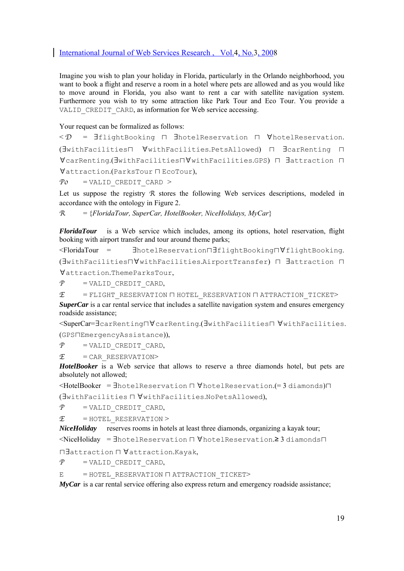Imagine you wish to plan your holiday in Florida, particularly in the Orlando neighborhood, you want to book a flight and reserve a room in a hotel where pets are allowed and as you would like to move around in Florida, you also want to rent a car with satellite navigation system. Furthermore you wish to try some attraction like Park Tour and Eco Tour. You provide a VALID CREDIT CARD, as information for Web service accessing.

Your request can be formalized as follows:

```
< D = ∃flightBooking ⊓ ∃hotelReservation ⊓ ∀hotelReservation. 
(∃withFacilities⊓ ∀withFacilities.PetsAllowed) ⊓ ∃carRenting ⊓
∀carRenting.(∃withFacilities⊓∀withFacilities.GPS) ⊓ ∃attraction ⊓
∀attraction.(ParksTour ⊓ EcoTour),
```
 $P0 =$  VALID CREDIT CARD >

Let us suppose the registry  $R$  stores the following Web services descriptions, modeled in accordance with the ontology in Figure 2.

R = {*FloridaTour, SuperCar, HotelBooker, NiceHolidays, MyCar*}

*FloridaTour* is a Web service which includes, among its options, hotel reservation, flight booking with airport transfer and tour around theme parks;

```
<FloridaTour = ∃hotelReservation⊓∃flightBooking⊓∀flightBooking. 
(∃withFacilities⊓∀withFacilities.AirportTransfer) ⊓ ∃attraction ⊓
∀attraction.ThemeParksTour,
```
 $P =$  VALID CREDIT CARD,

 $E$  = FLIGHT\_RESERVATION  $\sqcap$  HOTEL\_RESERVATION  $\sqcap$  ATTRACTION\_TICKET> *SuperCar* is a car rental service that includes a satellite navigation system and ensures emergency roadside assistance;

<SuperCar=∃carRenting⊓∀carRenting.(∃withFacilities⊓ ∀withFacilities. (GPS⊓EmergencyAssistance)),

 $P =$  VALID CREDIT CARD,

 $E$  = CAR\_RESERVATION>

*HotelBooker* is a Web service that allows to reserve a three diamonds hotel, but pets are absolutely not allowed;

<HotelBooker = ∃hotelReservation ⊓ ∀hotelReservation.(= 3 diamonds)⊓

(∃withFacilities ⊓ ∀withFacilities.NoPetsAllowed),

 $P =$  VALID CREDIT CARD,

 $E$  = HOTEL RESERVATION >

*NiceHoliday* reserves rooms in hotels at least three diamonds, organizing a kayak tour;

<NiceHoliday = ∃hotelReservation ⊓ ∀hotelReservation.≥ 3 diamonds⊓

⊓∃attraction ⊓ ∀attraction.Kayak,

 $P$  = VALID CREDIT CARD,

E = HOTEL\_RESERVATION ⊓ ATTRACTION\_TICKET>

*MyCar* is a car rental service offering also express return and emergency roadside assistance;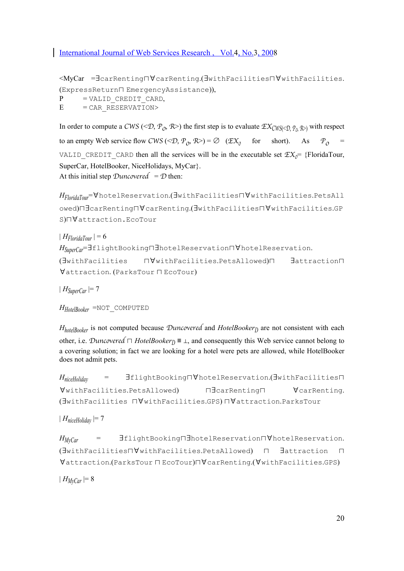<MyCar =∃carRenting⊓∀carRenting.(∃withFacilities⊓∀withFacilities. (ExpressReturn⊓ EmergencyAssistance)),  $P =$  VALID CREDIT CARD,  $E = CAR$  RESERVATION>

In order to compute a CWS (< $\mathcal{D}, \mathcal{P}_0, \mathcal{R}$ >) the first step is to evaluate  $\mathcal{EX}_{CWS( $\mathcal{D}, \mathcal{P}_0, \mathcal{R}$ ) with respect$ to an empty Web service flow CWS (<D,  $\mathcal{P}_0$ ,  $\mathcal{R}$ >) = Ø ( $\mathcal{EX}_0$  for short). As  $\mathcal{P}_0$  = VALID CREDIT CARD then all the services will be in the executable set  $\mathcal{EX}_0$ = {FloridaTour, SuperCar, HotelBooker, NiceHolidays, MyCar}. At this initial step Duncovered =  $D$  then:

*HFloridaTour*=∀hotelReservation.(∃withFacilities⊓∀withFacilities.PetsAll owed)⊓∃carRenting⊓∀carRenting.(∃withFacilities⊓∀withFacilities.GP S)⊓∀attraction.EcoTour

```
|H_{FloridaTour}| = 6HSuperCar=∃flightBooking⊓∃hotelReservation⊓∀hotelReservation. 
(∃withFacilities ⊓∀withFacilities.PetsAllowed)⊓ ∃attraction⊓
∀attraction. (ParksTour ⊓ EcoTour)
```
 $| H_{\text{SuperCar}} | = 7$ 

```
HHotelBooker =NOT_COMPUTED
```
*HhotelBooker* is not computed because *Duncovered* and *HotelBooker*<sub>D</sub> are not consistent with each other, i.e. *Duncovered*  $\Box$  *HotelBooker*<sub>*D*</sub> ≡  $\bot$ , and consequently this Web service cannot belong to a covering solution; in fact we are looking for a hotel were pets are allowed, while HotelBooker does not admit pets.

```
HniceHoliday = ∃flightBooking⊓∀hotelReservation.(∃withFacilities⊓
∀withFacilities.PetsAllowed) ⊓∃carRenting⊓ ∀carRenting. 
(∃withFacilities ⊓∀withFacilities.GPS) ⊓∀attraction.ParksTour
```

```
|H_{niceHoli,}|=7
```

```
HMyCar = ∃flightBooking⊓∃hotelReservation⊓∀hotelReservation. 
(∃withFacilities⊓∀withFacilities.PetsAllowed) ⊓ ∃attraction ⊓
∀attraction.(ParksTour ⊓ EcoTour)⊓∀carRenting.(∀withFacilities.GPS)
```
 $| H_{MvCar} | = 8$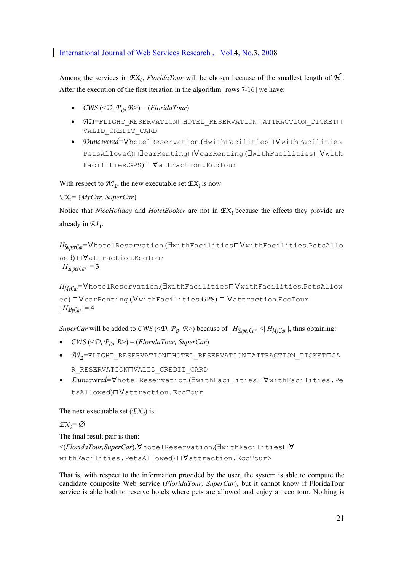Among the services in  $\mathcal{EX}_0$ , *FloridaTour* will be chosen because of the smallest length of  $H$ . After the execution of the first iteration in the algorithm [rows 7-16] we have:

- CWS (< $\mathcal{D}, \mathcal{P}_0, \mathcal{R}$ >) = (*FloridaTour*)
- AI1=FLIGHT\_RESERVATION⊓HOTEL\_RESERVATION⊓ATTRACTION\_TICKET⊓ VALID\_CREDIT\_CARD
- Duncovered=∀hotelReservation.(∃withFacilities⊓∀withFacilities. PetsAllowed)⊓∃carRenting⊓∀carRenting.(∃withFacilities⊓∀with Facilities.GPS)⊓ ∀attraction.EcoTour

With respect to  $A_1$ , the new executable set  $EX_1$  is now:

EX1= {*MyCar, SuperCar*}

Notice that *NiceHoliday* and *HotelBooker* are not in  $EX_1$  because the effects they provide are already in  $A_1$ .

```
HSuperCar=∀hotelReservation.(∃withFacilities⊓∀withFacilities.PetsAllo
wed) ⊓∀attraction.EcoTour
| H_{\text{SuperCar}} | = 3
```

```
HMyCar=∀hotelReservation.(∃withFacilities⊓∀withFacilities.PetsAllow
ed) ⊓∀carRenting.(∀withFacilities.GPS) ⊓ ∀attraction.EcoTour
| H_{MvCar} | = 4
```
*SuperCar* will be added to CWS (< $\mathcal{D}$ ,  $\mathcal{P}_0$ ,  $\mathcal{R}$ >) because of |  $H_{SuperCar}$  |<|  $H_{MyCar}$  |, thus obtaining:

- CWS (< $\mathcal{D}, \mathcal{P}_0, \mathcal{R}$ >) = (*FloridaTour, SuperCar*)
- $A1$ <sub>2</sub>=FLIGHT\_RESERVATION∏HOTEL\_RESERVATION∏ATTRACTION\_TICKET∏CA R\_RESERVATION⊓VALID\_CREDIT\_CARD
- Duncovered=∀hotelReservation.(∃withFacilities⊓∀withFacilities.Pe tsAllowed)⊓∀attraction.EcoTour

The next executable set  $(\mathcal{EX}_2)$  is:

 $\mathfrak{X},=\emptyset$ The final result pair is then: <(*FloridaTour,SuperCar*),∀hotelReservation.(∃withFacilities⊓∀ withFacilities.PetsAllowed) ⊓∀attraction.EcoTour>

That is, with respect to the information provided by the user, the system is able to compute the candidate composite Web service (*FloridaTour, SuperCar*), but it cannot know if FloridaTour service is able both to reserve hotels where pets are allowed and enjoy an eco tour. Nothing is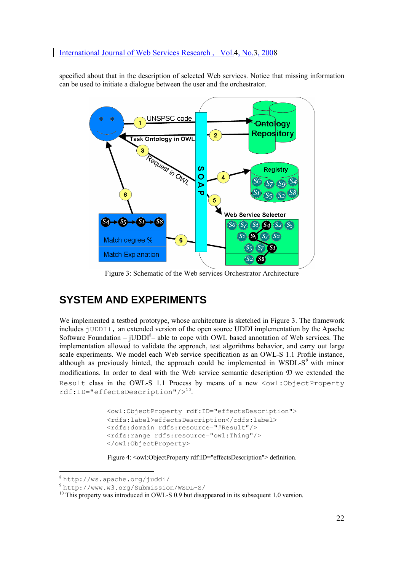specified about that in the description of selected Web services. Notice that missing information can be used to initiate a dialogue between the user and the orchestrator.



Figure 3: Schematic of the Web services Orchestrator Architecture

# **SYSTEM AND EXPERIMENTS**

We implemented a testbed prototype, whose architecture is sketched in Figure 3. The framework includes jUDDI+, an extended version of the open source UDDI implementation by the Apache Software Foundation –  $JUDDI<sup>8</sup>$  able to cope with OWL based annotation of Web services. The implementation allowed to validate the approach, test algorithms behavior, and carry out large scale experiments. We model each Web service specification as an OWL-S 1.1 Profile instance, although as previously hinted, the approach could be implemented in WSDL-S $9$  with minor modifications. In order to deal with the Web service semantic description  $D$  we extended the Result class in the OWL-S 1.1 Process by means of a new <owl:ObjectProperty rdf:ID="effectsDescription"/><sup>10</sup>.

```
<owl:ObjectProperty rdf:ID="effectsDescription"> 
<rdfs:label>effectsDescription</rdfs:label>
<rdfs:domain rdfs:resource="#Result"/> 
<rdfs:range rdfs:resource="owl:Thing"/> 
</owl:ObjectProperty>
```
Figure 4: < owl: ObjectProperty rdf:ID="effectsDescription" > definition.

 $\overline{a}$ 

<sup>8</sup> http://ws.apache.org/juddi/

<sup>9</sup> http://www.w3.org/Submission/WSDL-S/

<sup>&</sup>lt;sup>10</sup> This property was introduced in OWL-S 0.9 but disappeared in its subsequent 1.0 version.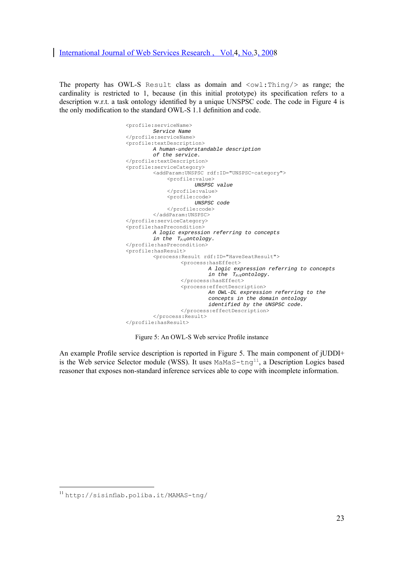The property has OWL-S Result class as domain and <owl:Thing/> as range; the cardinality is restricted to 1, because (in this initial prototype) its specification refers to a description w.r.t. a task ontology identified by a unique UNSPSC code. The code in Figure 4 is the only modification to the standard OWL-S 1.1 definition and code.

> <profile:serviceName> *Service Name*  </profile:serviceName> <profile:textDescription> *A human-understandable description of the service.*  </profile:textDescription> <profile:serviceCategory> <addParam:UNSPSC rdf:ID="UNSPSC-category"> <profile:value> *UNSPSC value*  </profile:value> <profile:code> *UNSPSC code*  </profile:code> </addParam:UNSPSC> </profile:serviceCategory> <profile:hasPrecondition> *A logic expression referring to concepts in the T<sub>P/E</sub>ontology*. </profile:hasPrecondition> <profile:hasResult> <process:Result rdf:ID="HaveSeatResult"> <process:hasEffect> *A logic expression referring to concepts in the TP/Eontology.*  </process:hasEffect> <process:effectDescription> *An OWL-DL expression referring to the concepts in the domain ontology identified by the UNSPSC code.*  </process:effectDescription> </process:Result> </profile:hasResult>

Figure 5: An OWL-S Web service Profile instance

An example Profile service description is reported in Figure 5. The main component of jUDDI+ is the Web service Selector module (WSS). It uses MaMaS-tng<sup>11</sup>, a Description Logics based reasoner that exposes non-standard inference services able to cope with incomplete information.

<sup>11</sup> http://sisinflab.poliba.it/MAMAS-tng/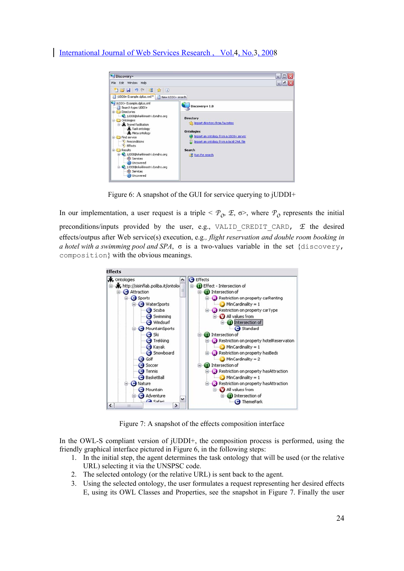

Figure 6: A snapshot of the GUI for service querying to jUDDI+

In our implementation, a user request is a triple  $\leq P_0$ ,  $\mathcal{F}, \sigma$ , where  $P_0$  represents the initial preconditions/inputs provided by the user, e.g., VALID CREDIT CARD,  $E$  the desired effects/outpus after Web service(s) execution, e.g*., flight reservation and double room booking in a hotel with a swimming pool and SPA*, σ is a two-values variable in the set {discovery, composition} with the obvious meanings.



Figure 7: A snapshot of the effects composition interface

In the OWL-S compliant version of jUDDI+, the composition process is performed, using the friendly graphical interface pictured in Figure 6, in the following steps:

- 1. In the initial step, the agent determines the task ontology that will be used (or the relative URL) selecting it via the UNSPSC code.
- 2. The selected ontology (or the relative URL) is sent back to the agent.
- 3. Using the selected ontology, the user formulates a request representing her desired effects E, using its OWL Classes and Properties, see the snapshot in Figure 7. Finally the user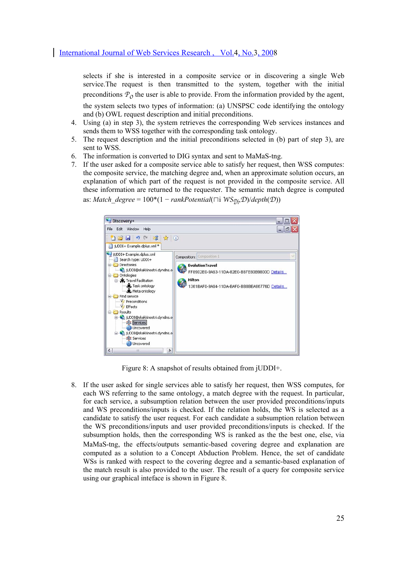selects if she is interested in a composite service or in discovering a single Web service.The request is then transmitted to the system, together with the initial preconditions  $P_0$  the user is able to provide. From the information provided by the agent, the system selects two types of information: (a) UNSPSC code identifying the ontology and (b) OWL request description and initial preconditions.

- 4. Using (a) in step 3), the system retrieves the corresponding Web services instances and sends them to WSS together with the corresponding task ontology.
- 5. The request description and the initial preconditions selected in (b) part of step 3), are sent to WSS.
- 6. The information is converted to DIG syntax and sent to MaMaS-tng.
- 7. If the user asked for a composite service able to satisfy her request, then WSS computes: the composite service, the matching degree and, when an approximate solution occurs, an explanation of which part of the request is not provided in the composite service. All these information are returned to the requester. The semantic match degree is computed as: *Match* degree =  $100*(1 - rankPotential(□i WS<sub>①i</sub>,D)/depth(D))$



Figure 8: A snapshot of results obtained from jUDDI+.

8. If the user asked for single services able to satisfy her request, then WSS computes, for each WS referring to the same ontology, a match degree with the request. In particular, for each service, a subsumption relation between the user provided preconditions/inputs and WS preconditions/inputs is checked. If the relation holds, the WS is selected as a candidate to satisfy the user request. For each candidate a subsumption relation between the WS preconditions/inputs and user provided preconditions/inputs is checked. If the subsumption holds, then the corresponding WS is ranked as the the best one, else, via MaMaS-tng, the effects/outputs semantic-based covering degree and explanation are computed as a solution to a Concept Abduction Problem. Hence, the set of candidate WSs is ranked with respect to the covering degree and a semantic-based explanation of the match result is also provided to the user. The result of a query for composite service using our graphical inteface is shown in Figure 8.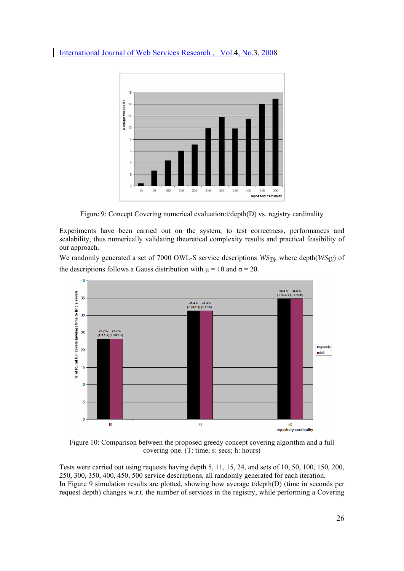

Figure 9: Concept Covering numerical evaluation:t/depth(D) vs. registry cardinality

Experiments have been carried out on the system, to test correctness, performances and scalability, thus numerically validating theoretical complexity results and practical feasibility of our approach.

We randomly generated a set of 7000 OWL-S service descriptions  $WS_{\hat{D}i}$ , where depth $(WS_{\hat{D}i})$  of the descriptions follows a Gauss distribution with  $\mu = 10$  and  $\sigma = 20$ .



Figure 10: Comparison between the proposed greedy concept covering algorithm and a full covering one. (T: time; s: secs; h: hours)

Tests were carried out using requests having depth 5, 11, 15, 24, and sets of 10, 50, 100, 150, 200, 250, 300, 350, 400, 450, 500 service descriptions, all randomly generated for each iteration. In Figure 9 simulation results are plotted, showing how average t/depth(D) (time in seconds per request depth) changes w.r.t. the number of services in the registry, while performing a Covering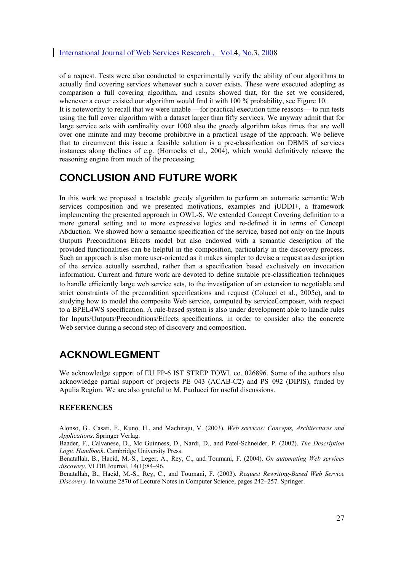of a request. Tests were also conducted to experimentally verify the ability of our algorithms to actually find covering services whenever such a cover exists. These were executed adopting as comparison a full covering algorithm, and results showed that, for the set we considered, whenever a cover existed our algorithm would find it with 100 % probability, see Figure 10.

It is noteworthy to recall that we were unable —for practical execution time reasons— to run tests using the full cover algorithm with a dataset larger than fifty services. We anyway admit that for large service sets with cardinality over 1000 also the greedy algorithm takes times that are well over one minute and may become prohibitive in a practical usage of the approach. We believe that to circumvent this issue a feasible solution is a pre-classification on DBMS of services instances along thelines of e.g. (Horrocks et al., 2004), which would definitively releave the reasoning engine from much of the processing.

# **CONCLUSION AND FUTURE WORK**

In this work we proposed a tractable greedy algorithm to perform an automatic semantic Web services composition and we presented motivations, examples and jUDDI+, a framework implementing the presented approach in OWL-S. We extended Concept Covering definition to a more general setting and to more expressive logics and re-defined it in terms of Concept Abduction. We showed how a semantic specification of the service, based not only on the Inputs Outputs Preconditions Effects model but also endowed with a semantic description of the provided functionalities can be helpful in the composition, particularly in the discovery process. Such an approach is also more user-oriented as it makes simpler to devise a request as description of the service actually searched, rather than a specification based exclusively on invocation information. Current and future work are devoted to define suitable pre-classification techniques to handle efficiently large web service sets, to the investigation of an extension to negotiable and strict constraints of the precondition specifications and request (Colucci et al., 2005c), and to studying how to model the composite Web service, computed by serviceComposer, with respect to a BPEL4WS specification. A rule-based system is also under development able to handle rules for Inputs/Outputs/Preconditions/Effects specifications, in order to consider also the concrete Web service during a second step of discovery and composition.

# **ACKNOWLEGMENT**

We acknowledge support of EU FP-6 IST STREP TOWL co. 026896. Some of the authors also acknowledge partial support of projects PE\_043 (ACAB-C2) and PS\_092 (DIPIS), funded by Apulia Region. We are also grateful to M. Paolucci for useful discussions.

#### **REFERENCES**

Alonso, G., Casati, F., Kuno, H., and Machiraju, V. (2003). *Web services: Concepts, Architectures and Applications*. Springer Verlag.

Baader, F., Calvanese, D., Mc Guinness, D., Nardi, D., and Patel-Schneider, P. (2002). *The Description Logic Handbook*. Cambridge University Press.

Benatallah, B., Hacid, M.-S., Leger, A., Rey, C., and Toumani, F. (2004). *On automating Web services discovery*. VLDB Journal, 14(1):84–96.

Benatallah, B., Hacid, M.-S., Rey, C., and Toumani, F. (2003). *Request Rewriting-Based Web Service Discovery*. In volume 2870 of Lecture Notes in Computer Science, pages 242–257. Springer.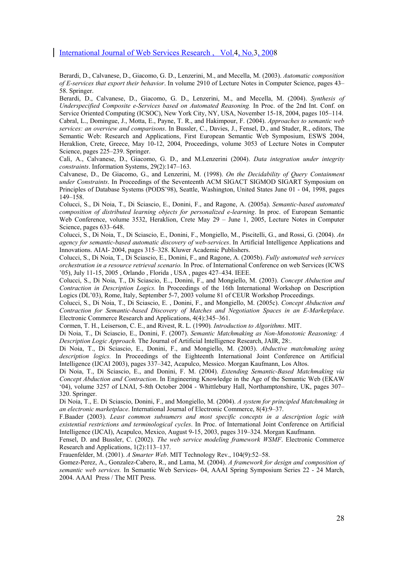Berardi, D., Calvanese, D., Giacomo, G. D., Lenzerini, M., and Mecella, M. (2003). *Automatic composition of E-services that export their behavior*. In volume 2910 of Lecture Notes in Computer Science, pages 43– 58. Springer.

Berardi, D., Calvanese, D., Giacomo, G. D., Lenzerini, M., and Mecella, M. (2004). *Synthesis of Underspecified Composite e-Services based on Automated Reasoning.* In Proc. of the 2nd Int. Conf. on Service Oriented Computing (ICSOC), New York City, NY, USA, November 15-18, 2004, pages 105–114. Cabral, L., Domingue, J., Motta, E., Payne, T. R., and Hakimpour, F. (2004). *Approaches to semantic web services: an overview and comparisons*. In Bussler, C., Davies, J., Fensel, D., and Studer, R., editors, The Semantic Web: Research and Applications, First European Semantic Web Symposium, ESWS 2004, Heraklion, Crete, Greece, May 10-12, 2004, Proceedings, volume 3053 of Lecture Notes in Computer Science, pages 225–239. Springer.

Calì, A., Calvanese, D., Giacomo, G. D., and M.Lenzerini (2004). *Data integration under integrity constraints*. Information Systems, 29(2):147–163.

Calvanese, D., De Giacomo, G., and Lenzerini, M. (1998). *On the Decidability of Query Containment under Constraints*. In Proceedings of the Seventeenth ACM SIGACT SIGMOD SIGART Symposium on Principles of Database Systems (PODS'98), Seattle, Washington, United States June 01 - 04, 1998, pages 149–158.

Colucci, S., Di Noia, T., Di Sciascio, E., Donini, F., and Ragone, A. (2005a). *Semantic-based automated composition of distributed learning objects for personalized e-learning*. In proc. of European Semantic Web Conference, volume 3532, Heraklion, Crete May 29 – June 1, 2005, Lecture Notes in Computer Science, pages 633–648.

Colucci, S., Di Noia, T., Di Sciascio, E., Donini, F., Mongiello, M., Piscitelli, G., and Rossi, G. (2004). *An agency for semantic-based automatic discovery of web-services*. In Artificial Intelligence Applications and Innovations. AIAI- 2004, pages 315–328. Kluwer Academic Publishers.

Colucci, S., Di Noia, T., Di Sciascio, E., Donini, F., and Ragone, A. (2005b). *Fully automated web services orchestration in a resource retrieval scenario.* In Proc. of International Conference on web Services (ICWS '05), July 11-15, 2005 , Orlando , Florida , USA , pages 427–434. IEEE.

Colucci, S., Di Noia, T., Di Sciascio, E.., Donini, F., and Mongiello, M. (2003). *Concept Abduction and Contraction in Description Logics.* In Proceedings of the 16th International Workshop on Description Logics (DL'03), Rome, Italy, September 5-7, 2003 volume 81 of CEUR Workshop Proceedings.

Colucci, S., Di Noia, T., Di Sciascio, E. , Donini, F., and Mongiello, M. (2005c). *Concept Abduction and Contraction for Semantic-based Discovery of Matches and Negotiation Spaces in an E-Marketplace*. Electronic Commerce Research and Applications, 4(4):345–361.

Cormen, T. H., Leiserson, C. E., and Rivest, R. L. (1990)*. Introduction to Algorithms*. MIT.

Di Noia, T., Di Sciascio, E., Donini, F. (2007). *Semantic Matchmaking as Non-Monotonic Reasoning: A Description Logic Approach.* The Journal of Artificial Intelligence Research, JAIR, 28:.

Di Noia, T., Di Sciascio, E., Donini, F., and Mongiello, M. (2003). *Abductive matchmaking using description logics.* In Proceedings of the Eighteenth International Joint Conference on Artificial Intelligence (IJCAI 2003), pages 337–342, Acapulco, Messico. Morgan Kaufmann, Los Altos.

Di Noia, T., Di Sciascio, E., and Donini, F. M. (2004). *Extending Semantic-Based Matchmaking via Concept Abduction and Contraction*. In Engineering Knowledge in the Age of the Semantic Web (EKAW '04), volume 3257 of LNAI, 5-8th October 2004 - Whittlebury Hall, Northamptonshire, UK, pages 307– 320. Springer.

Di Noia, T., E. Di Sciascio, Donini, F., and Mongiello, M. (2004). *A system for principled Matchmaking in an electronic marketplace*. International Journal of Electronic Commerce, 8(4):9–37.

F.Baader (2003). *Least common subsumers and most specific concepts in a description logic with existential restrictions and terminological cycles*. In Proc. of International Joint Conference on Artificial Intelligence (IJCAI), Acapulco, Mexico, August 9-15, 2003, pages 319–324. Morgan Kaufmann.

Fensel, D. and Bussler, C. (2002). *The web service modeling framework WSMF*. Electronic Commerce Research and Applications, 1(2):113–137.

Frauenfelder, M. (2001). *A Smarter Web*. MIT Technology Rev., 104(9):52–58.

Gomez-Perez, A., Gonzalez-Cabero, R., and Lama, M. (2004). *A framework for design and composition of semantic web services.* In Semantic Web Services- 04, AAAI Spring Symposium Series 22 - 24 March, 2004. AAAI Press / The MIT Press.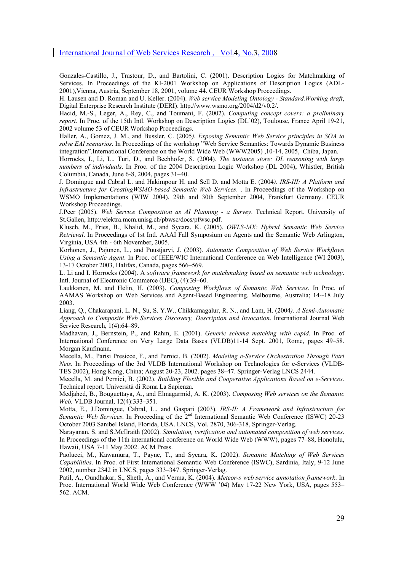Gonzales-Castillo, J., Trastour, D., and Bartolini, C. (2001). Description Logics for Matchmaking of Services. In Proceedings of the KI-2001 Workshop on Applications of Description Logics (ADL-2001),Vienna, Austria, September 18, 2001, volume 44. CEUR Workshop Proceedings.

H. Lausen and D. Roman and U. Keller. (2004). *Web service Modeling Ontology - Standard.Working draft*, Digital Enterprise Research Institute (DERI). http.//www.wsmo.org/2004/d2/v0.2/.

Hacid, M.-S., Leger, A., Rey, C., and Toumani, F. (2002). *Computing concept covers: a preliminary report*. In Proc. of the 15th Intl. Workshop on Description Logics (DL'02), Toulouse, France April 19-21, 2002 volume 53 of CEUR Workshop Proceedings.

Haller, A., Gomez, J. M., and Bussler, C. (2005*). Exposing Semantic Web Service principles in SOA to solve EAI scenarios*. In Proceedings of the workshop "Web Service Semantics: Towards Dynamic Business integration".International Conference on the World Wide Web (WWW2005) ,10-14, 2005, Chiba, Japan.

Horrocks, I., Li, L., Turi, D., and Bechhofer, S. (2004). *The instance store: DL reasoning with large numbers of individuals*. In Proc. of the 2004 Description Logic Workshop (DL 2004), Whistler, British Columbia, Canada, June 6-8, 2004, pages 31–40.

J. Domingue and Cabral L. and Hakimpour H. and Sell D. and Motta E. (2004*). IRS-III: A Platform and Infrastructure for CreatingWSMO-based Semantic Web Services*. . In Proceedings of the Workshop on WSMO Implementations (WIW 2004). 29th and 30th September 2004, Frankfurt Germany. CEUR Workshop Proceedings.

J.Peer (2005). *Web Service Composition as AI Planning - a Survey*. Technical Report. University of St.Gallen, http://elektra.mcm.unisg.ch/pbwsc/docs/pfwsc.pdf.

Klusch, M., Fries, B., Khalid, M., and Sycara, K. (2005). *OWLS-MX: Hybrid Semantic Web Service Retrieval*. In Proceedings of 1st Intl. AAAI Fall Symposium on Agents and the Semantic Web Arlington, Virginia, USA 4th - 6th November, 2005.

Korhonen, J., Pajunen, L., and Puustjarvi, J. (2003). *Automatic Composition of Web Service Workflows Using a Semantic Agent*. In Proc. of IEEE/WIC International Conference on Web Intelligence (WI 2003), 13-17 October 2003, Halifax, Canada, pages 566–569.

L. Li and I. Horrocks (2004). A *software framework for matchmaking based on semantic web technology*. Intl. Journal of Electronic Commerce (IJEC), (4):39–60.

Laukkanen, M. and Helin, H. (2003). *Composing Workflows of Semantic Web Services*. In Proc. of AAMAS Workshop on Web Services and Agent-Based Engineering. Melbourne, Australia; 14--18 July 2003.

Liang, Q., Chakarapani, L. N., Su, S. Y.W., Chikkamagalur, R. N., and Lam, H. (2004*). A Semi-Automatic Approach to Composite Web Services Discovery, Description and Invocation*. International Journal Web Service Research, 1(4):64–89.

Madhavan, J., Bernstein, P., and Rahm, E. (2001). *Generic schema matching with cupid*. In Proc. of International Conference on Very Large Data Bases (VLDB)11-14 Sept. 2001, Rome, pages 49–58. Morgan Kaufmann.

Mecella, M., Parisi Presicce, F., and Pernici, B. (2002). *Modeling e-Service Orchestration Through Petri Nets.* In Proceedings of the 3rd VLDB International Workshop on Technologies for e-Services (VLDB-TES 2002), Hong Kong, China; August 20-23, 2002. pages 38–47. Springer-Verlag LNCS 2444.

Mecella, M. and Pernici, B. (2002). *Building Flexible and Cooperative Applications Based on e-Services*. Technical report. Università di Roma La Sapienza.

Medjahed, B., Bouguettaya, A., and Elmagarmid, A. K. (2003). *Composing Web services on the Semantic Web.* VLDB Journal, 12(4):333–351.

Motta, E., J.Domingue, Cabral, L., and Gaspari (2003). *IRS-II: A Framework and Infrastructure for Semantic Web Services*. In Proceeding of the 2nd International Semantic Web Conference (ISWC) 20-23 October 2003 Sanibel Island, Florida, USA. LNCS, Vol. 2870, 306-318, Springer-Verlag.

Narayanan, S. and S.McIlraith (2002). *Simulation, verification and automated composition of web services*. In Proceedings of the 11th international conference on World Wide Web (WWW), pages 77–88, Honolulu, Hawaii, USA 7-11 May 2002. ACM Press.

Paolucci, M., Kawamura, T., Payne, T., and Sycara, K. (2002). *Semantic Matching of Web Services Capabilities*. In Proc. of First International Semantic Web Conference (ISWC), Sardinia, Italy, 9-12 June 2002, number 2342 in LNCS, pages 333–347. Springer-Verlag.

Patil, A., Oundhakar, S., Sheth, A., and Verma, K. (2004). *Meteor-s web service annotation framework*. In Proc. International World Wide Web Conference (WWW '04) May 17-22 New York, USA, pages 553– 562. ACM.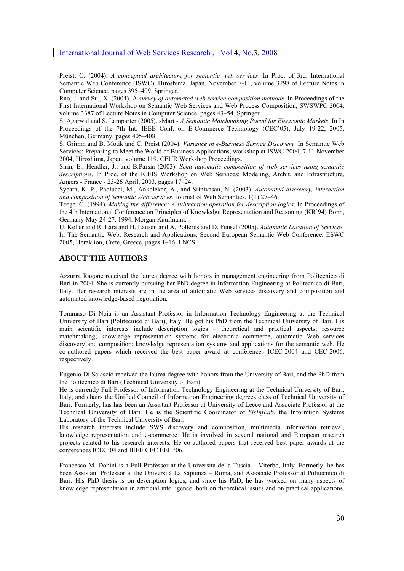Preist, C. (2004). *A conceptual architecture for semantic web services*. In Proc. of 3rd. International Semantic Web Conference (ISWC), Hiroshima, Japan, November 7-11, volume 3298 of Lecture Notes in Computer Science, pages 395–409. Springer.

Rao, J. and Su., X. (2004). A *survey of automated web service composition methods.* In Proceedings of the First International Workshop on Semantic Web Services and Web Process Composition, SWSWPC 2004, volume 3387 of Lecture Notes in Computer Science, pages 43–54. Springer.

S. Agarwal and S. Lamparter (2005). sMart - *A Semantic Matchmaking Portal for Electronic Markets.* In In Proceedings of the 7th Int. IEEE Conf. on E-Commerce Technology (CEC'05), July 19-22, 2005, München, Germany, pages 405–408.

S. Grimm and B. Motik and C. Preist (2004). *Variance in e-Business Service Discovery*. In Semantic Web Services: Preparing to Meet the World of Business Applications, workshop at ISWC-2004, 7-11 November 2004, Hiroshima, Japan. volume 119. CEUR Workshop Proceedings.

Sirin, E., Hendler, J., and B.Parsia (2003). *Semi automatic composition of web services using semantic descriptions*. In Proc. of the ICEIS Workshop on Web Services: Modeling, Archit. and Infrastructure, Angers - France - 23-26 April, 2003, pages 17–24.

Sycara, K. P., Paolucci, M., Ankolekar, A., and Srinivasan, N. (2003). *Automated discovery, interaction and composition of Semantic Web services.* Journal of Web Semantics, 1(1):27–46.

Teege, G. (1994). *Making the difference: A subtraction operation for description logics*. In Proceedings of the 4th International Conference on Principles of Knowledge Representation and Reasoning (KR'94) Bonn, Germany May 24-27, 1994. Morgan Kaufmann.

U. Keller and R. Lara and H. Lausen and A. Polleres and D. Fensel (2005). *Automatic Location of Services.* In The Semantic Web: Research and Applications, Second European Semantic Web Conference, ESWC 2005, Heraklion, Crete, Greece, pages 1–16. LNCS.

#### **ABOUT THE AUTHORS**

Azzurra Ragone received the laurea degree with honors in management engineering from Politecnico di Bari in 2004. She is currently pursuing her PhD degree in Information Engineering at Politecnico di Bari, Italy. Her research interests are in the area of automatic Web services discovery and composition and automated knowledge-based negotiation.

Tommaso Di Noia is an Assistant Professor in Information Technology Engineering at the Technical University of Bari (Politecnico di Bari), Italy. He got his PhD from the Technical University of Bari. His main scientific interests include description logics – theoretical and practical aspects; resource matchmaking; knowledge representation systems for electronic commerce; automatic Web services discovery and composition; knowledge representation systems and applications for the semantic web. He co-authored papers which received the best paper award at conferences ICEC-2004 and CEC-2006, respectively.

Eugenio Di Sciascio received the laurea degree with honors from the University of Bari, and the PhD from the Politecnico di Bari (Technical University of Bari).

He is currently Full Professor of Information Technology Engineering at the Technical University of Bari, Italy, and chairs the Unified Council of Information Engineering degrees class of Technical University of Bari. Formerly, has has been an Assistant Professor at University of Lecce and Associate Professor at the Technical University of Bari. He is the Scientific Coordinator of *SisInfLab*, the Informtion Systems Laboratory of the Technical University of Bari.

His research interests include SWS discovery and composition, multimedia information retrieval, knowledge representation and e-commerce. He is involved in several national and European research projects related to his research interests. He co-authored papers that received best paper awards at the conferences ICEC'04 and IEEE CEC EEE '06.

Francesco M. Donini is a Full Professor at the Università della Tuscia – Viterbo, Italy. Formerly, he has been Assistant Professor at the Università La Sapienza – Roma, and Associate Professor at Politecnico di Bari. His PhD thesis is on description logics, and since his PhD, he has worked on many aspects of knowledge representation in artificial intelligence, both on theoretical issues and on practical applications.